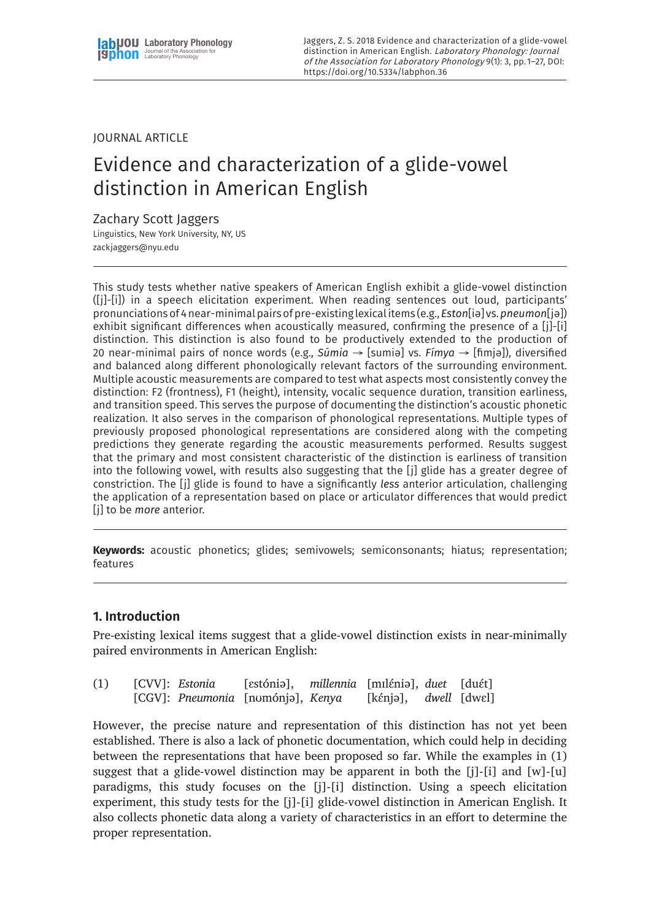Jaggers, Z. S. 2018 Evidence and characterization of a glide-vowel distinction in American English. Laboratory Phonology: Journal of the Association for Laboratory Phonology 9(1): 3, pp. 1–27, DOI: <https://doi.org/10.5334/labphon.36>

# JOURNAL ARTICLE

# Evidence and characterization of a glide-vowel distinction in American English

# Zachary Scott Jaggers

Linguistics, New York University, NY, US [zackjaggers@nyu.edu](mailto:zackjaggers@nyu.edu)

This study tests whether native speakers of American English exhibit a glide-vowel distinction ([j]-[i]) in a speech elicitation experiment. When reading sentences out loud, participants' pronunciations of 4 near-minimal pairs of pre-existing lexical items (e.g., *Eston*[iə] vs. *pneumon*[jə]) exhibit significant differences when acoustically measured, confirming the presence of a [j]-[i] distinction. This distinction is also found to be productively extended to the production of 20 near-minimal pairs of nonce words (e.g., *Súmia* → [sumiə] vs. *Fímya* → [fimjə]), diversified and balanced along different phonologically relevant factors of the surrounding environment. Multiple acoustic measurements are compared to test what aspects most consistently convey the distinction: F2 (frontness), F1 (height), intensity, vocalic sequence duration, transition earliness, and transition speed. This serves the purpose of documenting the distinction's acoustic phonetic realization. It also serves in the comparison of phonological representations. Multiple types of previously proposed phonological representations are considered along with the competing predictions they generate regarding the acoustic measurements performed. Results suggest that the primary and most consistent characteristic of the distinction is earliness of transition into the following vowel, with results also suggesting that the [j] glide has a greater degree of constriction. The [j] glide is found to have a significantly *less* anterior articulation, challenging the application of a representation based on place or articulator differences that would predict [j] to be *more* anterior.

**Keywords:** acoustic phonetics; glides; semivowels; semiconsonants; hiatus; representation; features

# **1. Introduction**

Pre-existing lexical items suggest that a glide-vowel distinction exists in near-minimally paired environments in American English:

| (1) | [CVV]: Estonia | [estóniə], millennia [mɪlɛ́niə], duet [duɛ́t] |                               |  |
|-----|----------------|-----------------------------------------------|-------------------------------|--|
|     |                | [CGV]: Pneumonia [nomónjə], Kenya             | [kɛ́njə], <i>dwell</i> [dwɛl] |  |

However, the precise nature and representation of this distinction has not yet been established. There is also a lack of phonetic documentation, which could help in deciding between the representations that have been proposed so far. While the examples in (1) suggest that a glide-vowel distinction may be apparent in both the [j]-[i] and [w]-[u] paradigms, this study focuses on the [j]-[i] distinction. Using a speech elicitation experiment, this study tests for the [j]-[i] glide-vowel distinction in American English. It also collects phonetic data along a variety of characteristics in an effort to determine the proper representation.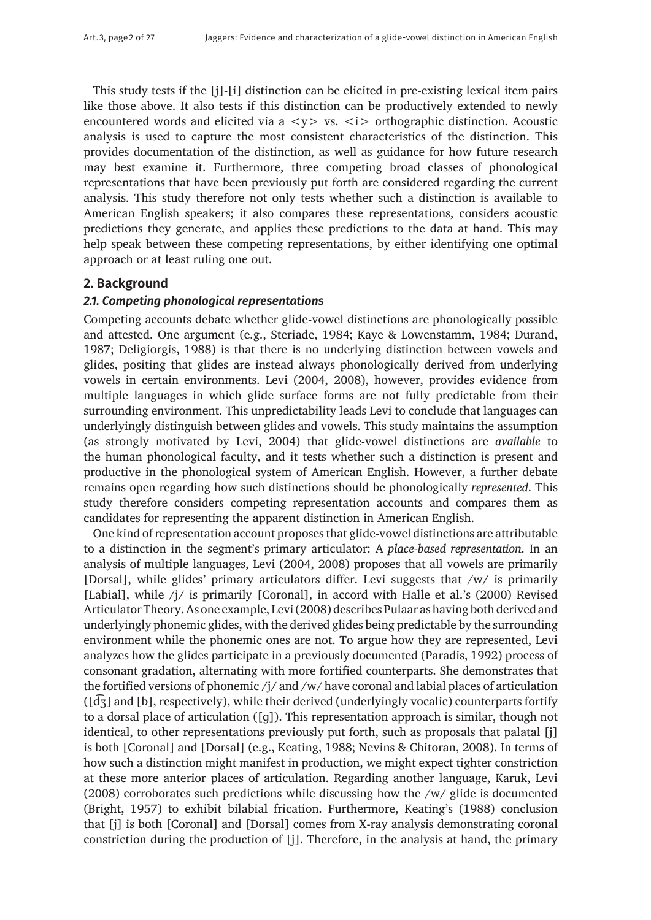This study tests if the [j]-[i] distinction can be elicited in pre-existing lexical item pairs like those above. It also tests if this distinction can be productively extended to newly encountered words and elicited via  $a < y > vs. < i >$  orthographic distinction. Acoustic analysis is used to capture the most consistent characteristics of the distinction. This provides documentation of the distinction, as well as guidance for how future research may best examine it. Furthermore, three competing broad classes of phonological representations that have been previously put forth are considered regarding the current analysis. This study therefore not only tests whether such a distinction is available to American English speakers; it also compares these representations, considers acoustic predictions they generate, and applies these predictions to the data at hand. This may help speak between these competing representations, by either identifying one optimal approach or at least ruling one out.

# **2. Background**

## *2.1. Competing phonological representations*

Competing accounts debate whether glide-vowel distinctions are phonologically possible and attested. One argument (e.g., Steriade, 1984; Kaye & Lowenstamm, 1984; Durand, 1987; Deligiorgis, 1988) is that there is no underlying distinction between vowels and glides, positing that glides are instead always phonologically derived from underlying vowels in certain environments. Levi (2004, 2008), however, provides evidence from multiple languages in which glide surface forms are not fully predictable from their surrounding environment. This unpredictability leads Levi to conclude that languages can underlyingly distinguish between glides and vowels. This study maintains the assumption (as strongly motivated by Levi, 2004) that glide-vowel distinctions are *available* to the human phonological faculty, and it tests whether such a distinction is present and productive in the phonological system of American English. However, a further debate remains open regarding how such distinctions should be phonologically *represented*. This study therefore considers competing representation accounts and compares them as candidates for representing the apparent distinction in American English.

One kind of representation account proposes that glide-vowel distinctions are attributable to a distinction in the segment's primary articulator: A *place-based representation*. In an analysis of multiple languages, Levi (2004, 2008) proposes that all vowels are primarily [Dorsal], while glides' primary articulators differ. Levi suggests that /w/ is primarily [Labial], while /j/ is primarily [Coronal], in accord with Halle et al.'s (2000) Revised Articulator Theory. As one example, Levi (2008) describes Pulaar as having both derived and underlyingly phonemic glides, with the derived glides being predictable by the surrounding environment while the phonemic ones are not. To argue how they are represented, Levi analyzes how the glides participate in a previously documented (Paradis, 1992) process of consonant gradation, alternating with more fortified counterparts. She demonstrates that the fortified versions of phonemic /j/ and /w/ have coronal and labial places of articulation  $(\sqrt{d\zeta})$  and  $[b]$ , respectively), while their derived (underlyingly vocalic) counterparts fortify to a dorsal place of articulation ([ɡ]). This representation approach is similar, though not identical, to other representations previously put forth, such as proposals that palatal [j] is both [Coronal] and [Dorsal] (e.g., Keating, 1988; Nevins & Chitoran, 2008). In terms of how such a distinction might manifest in production, we might expect tighter constriction at these more anterior places of articulation. Regarding another language, Karuk, Levi (2008) corroborates such predictions while discussing how the /w/ glide is documented (Bright, 1957) to exhibit bilabial frication. Furthermore, Keating's (1988) conclusion that [j] is both [Coronal] and [Dorsal] comes from X-ray analysis demonstrating coronal constriction during the production of [j]. Therefore, in the analysis at hand, the primary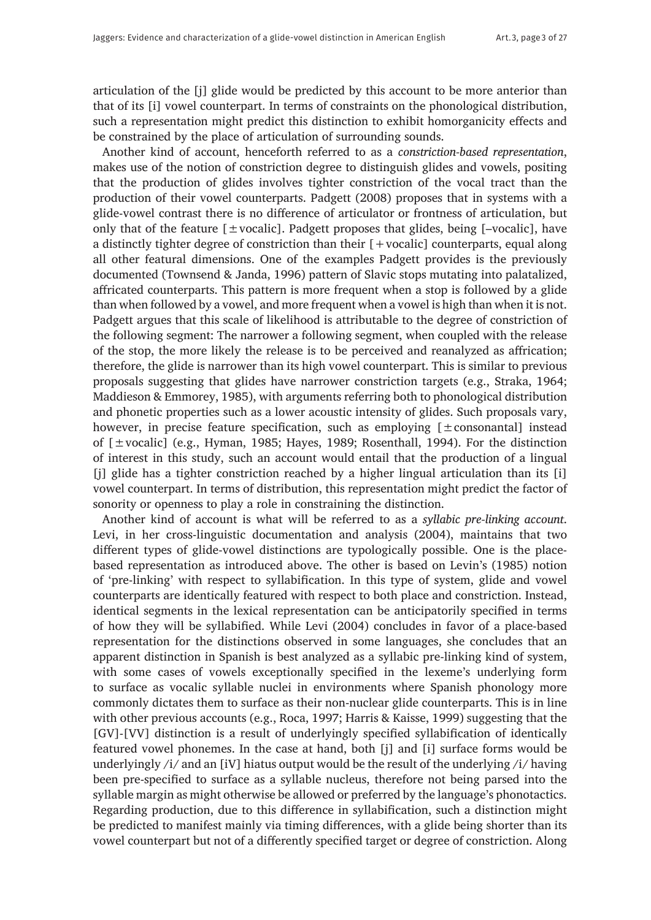articulation of the [j] glide would be predicted by this account to be more anterior than that of its [i] vowel counterpart. In terms of constraints on the phonological distribution, such a representation might predict this distinction to exhibit homorganicity effects and be constrained by the place of articulation of surrounding sounds.

Another kind of account, henceforth referred to as a *constriction-based representation*, makes use of the notion of constriction degree to distinguish glides and vowels, positing that the production of glides involves tighter constriction of the vocal tract than the production of their vowel counterparts. Padgett (2008) proposes that in systems with a glide-vowel contrast there is no difference of articulator or frontness of articulation, but only that of the feature  $[\pm \text{vocalic}]$ . Padgett proposes that glides, being [-vocalic], have a distinctly tighter degree of constriction than their [+vocalic] counterparts, equal along all other featural dimensions. One of the examples Padgett provides is the previously documented (Townsend & Janda, 1996) pattern of Slavic stops mutating into palatalized, affricated counterparts. This pattern is more frequent when a stop is followed by a glide than when followed by a vowel, and more frequent when a vowel is high than when it is not. Padgett argues that this scale of likelihood is attributable to the degree of constriction of the following segment: The narrower a following segment, when coupled with the release of the stop, the more likely the release is to be perceived and reanalyzed as affrication; therefore, the glide is narrower than its high vowel counterpart. This is similar to previous proposals suggesting that glides have narrower constriction targets (e.g., Straka, 1964; Maddieson & Emmorey, 1985), with arguments referring both to phonological distribution and phonetic properties such as a lower acoustic intensity of glides. Such proposals vary, however, in precise feature specification, such as employing  $[±constant]$  instead of  $[\pm \text{vocalic}]$  (e.g., Hyman, 1985; Hayes, 1989; Rosenthall, 1994). For the distinction of interest in this study, such an account would entail that the production of a lingual [j] glide has a tighter constriction reached by a higher lingual articulation than its [i] vowel counterpart. In terms of distribution, this representation might predict the factor of sonority or openness to play a role in constraining the distinction.

Another kind of account is what will be referred to as a *syllabic pre-linking account*. Levi, in her cross-linguistic documentation and analysis (2004), maintains that two different types of glide-vowel distinctions are typologically possible. One is the placebased representation as introduced above. The other is based on Levin's (1985) notion of 'pre-linking' with respect to syllabification. In this type of system, glide and vowel counterparts are identically featured with respect to both place and constriction. Instead, identical segments in the lexical representation can be anticipatorily specified in terms of how they will be syllabified. While Levi (2004) concludes in favor of a place-based representation for the distinctions observed in some languages, she concludes that an apparent distinction in Spanish is best analyzed as a syllabic pre-linking kind of system, with some cases of vowels exceptionally specified in the lexeme's underlying form to surface as vocalic syllable nuclei in environments where Spanish phonology more commonly dictates them to surface as their non-nuclear glide counterparts. This is in line with other previous accounts (e.g., Roca, 1997; Harris & Kaisse, 1999) suggesting that the [GV]-[VV] distinction is a result of underlyingly specified syllabification of identically featured vowel phonemes. In the case at hand, both [j] and [i] surface forms would be underlyingly /i/ and an [iV] hiatus output would be the result of the underlying /i/ having been pre-specified to surface as a syllable nucleus, therefore not being parsed into the syllable margin as might otherwise be allowed or preferred by the language's phonotactics. Regarding production, due to this difference in syllabification, such a distinction might be predicted to manifest mainly via timing differences, with a glide being shorter than its vowel counterpart but not of a differently specified target or degree of constriction. Along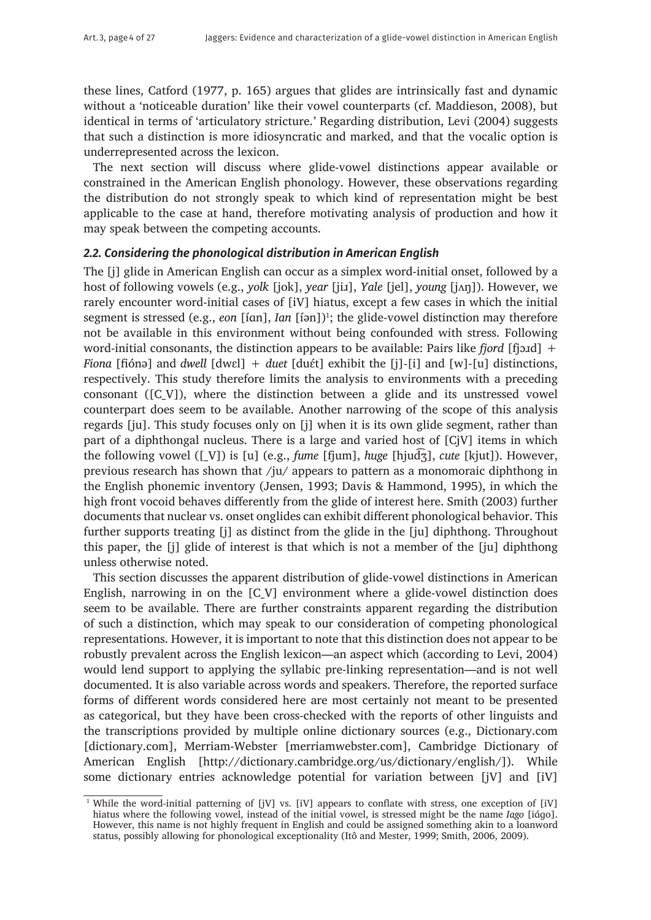these lines, Catford (1977, p. 165) argues that glides are intrinsically fast and dynamic without a 'noticeable duration' like their vowel counterparts (cf. Maddieson, 2008), but identical in terms of 'articulatory stricture.' Regarding distribution, Levi (2004) suggests that such a distinction is more idiosyncratic and marked, and that the vocalic option is underrepresented across the lexicon.

The next section will discuss where glide-vowel distinctions appear available or constrained in the American English phonology. However, these observations regarding the distribution do not strongly speak to which kind of representation might be best applicable to the case at hand, therefore motivating analysis of production and how it may speak between the competing accounts.

## *2.2. Considering the phonological distribution in American English*

The [j] glide in American English can occur as a simplex word-initial onset, followed by a host of following vowels (e.g., *yolk* [jok], *year* [jiɹ], *Yale* [jel], *young* [jʌŋ]). However, we rarely encounter word-initial cases of [iV] hiatus, except a few cases in which the initial segment is stressed (e.g., *eon* [íɑn], *Ian* [íən])<sup>1</sup>; the glide-vowel distinction may therefore not be available in this environment without being confounded with stress. Following word-initial consonants, the distinction appears to be available: Pairs like *fjord* [fjɔɹd] + *Fiona* [fiónə] and *dwell* [dwɛl] + *duet* [duɛ́t] exhibit the [j]-[i] and [w]-[u] distinctions, respectively. This study therefore limits the analysis to environments with a preceding consonant ([C\_V]), where the distinction between a glide and its unstressed vowel counterpart does seem to be available. Another narrowing of the scope of this analysis regards [ju]. This study focuses only on [j] when it is its own glide segment, rather than part of a diphthongal nucleus. There is a large and varied host of [CjV] items in which the following vowel ([\_V]) is [u] (e.g., *fume* [fjum], *huge* [hjud͡ʒ], *cute* [kjut]). However, previous research has shown that /ju/ appears to pattern as a monomoraic diphthong in the English phonemic inventory (Jensen, 1993; Davis & Hammond, 1995), in which the high front vocoid behaves differently from the glide of interest here. Smith (2003) further documents that nuclear vs. onset onglides can exhibit different phonological behavior. This further supports treating [j] as distinct from the glide in the [ju] diphthong. Throughout this paper, the [j] glide of interest is that which is not a member of the [ju] diphthong unless otherwise noted.

This section discusses the apparent distribution of glide-vowel distinctions in American English, narrowing in on the [C\_V] environment where a glide-vowel distinction does seem to be available. There are further constraints apparent regarding the distribution of such a distinction, which may speak to our consideration of competing phonological representations. However, it is important to note that this distinction does not appear to be robustly prevalent across the English lexicon—an aspect which (according to Levi, 2004) would lend support to applying the syllabic pre-linking representation—and is not well documented. It is also variable across words and speakers. Therefore, the reported surface forms of different words considered here are most certainly not meant to be presented as categorical, but they have been cross-checked with the reports of other linguists and the transcriptions provided by multiple online dictionary sources (e.g., [Dictionary.com](http://www.Dictionary.com) [[dictionary.com](http://www.dictionary.com)], Merriam-Webster [\[merriamwebster.com](http://www.merriamwebster.com)], Cambridge Dictionary of American English [[http://dictionary.cambridge.org/us/dictionary/english/\]](http://dictionary.cambridge.org/us/dictionary/english/)). While some dictionary entries acknowledge potential for variation between [jV] and [iV]

 $1$  While the word-initial patterning of [jV] vs. [iV] appears to conflate with stress, one exception of [iV] hiatus where the following vowel, instead of the initial vowel, is stressed might be the name *Iago* [iɑ́ɡo]. However, this name is not highly frequent in English and could be assigned something akin to a loanword status, possibly allowing for phonological exceptionality (Itô and Mester, 1999; Smith, 2006, 2009).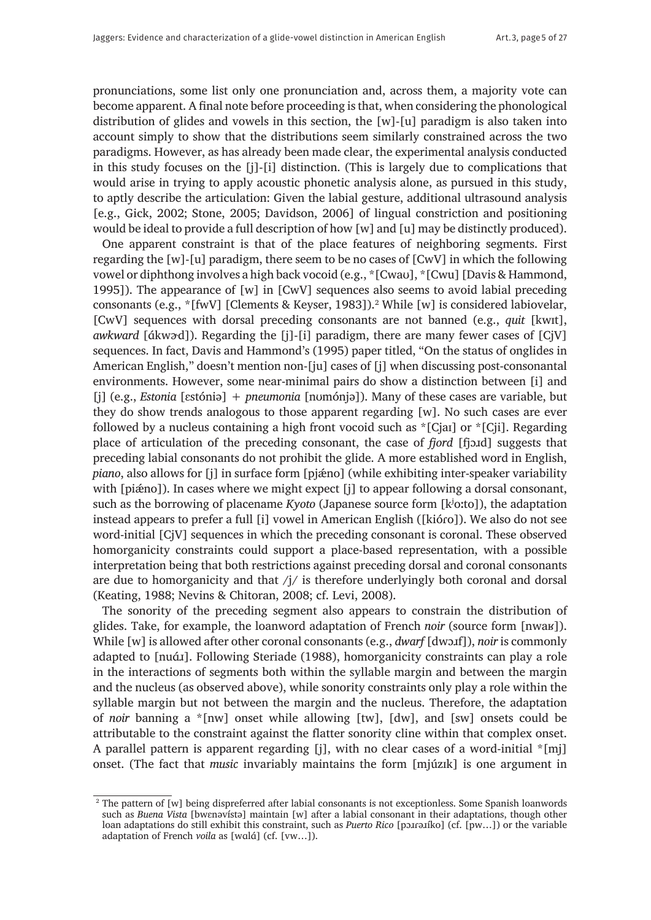pronunciations, some list only one pronunciation and, across them, a majority vote can become apparent. A final note before proceeding is that, when considering the phonological distribution of glides and vowels in this section, the [w]-[u] paradigm is also taken into account simply to show that the distributions seem similarly constrained across the two paradigms. However, as has already been made clear, the experimental analysis conducted in this study focuses on the [j]-[i] distinction. (This is largely due to complications that would arise in trying to apply acoustic phonetic analysis alone, as pursued in this study, to aptly describe the articulation: Given the labial gesture, additional ultrasound analysis [e.g., Gick, 2002; Stone, 2005; Davidson, 2006] of lingual constriction and positioning would be ideal to provide a full description of how [w] and [u] may be distinctly produced).

One apparent constraint is that of the place features of neighboring segments. First regarding the [w]-[u] paradigm, there seem to be no cases of [CwV] in which the following vowel or diphthong involves a high back vocoid (e.g., \*[Cwaʊ], \*[Cwu] [Davis & Hammond, 1995]). The appearance of [w] in [CwV] sequences also seems to avoid labial preceding consonants (e.g., \*[fwV] [Clements & Keyser, 1983]).<sup>2</sup> While [w] is considered labiovelar, [CwV] sequences with dorsal preceding consonants are not banned (e.g., *quit* [kwɪt], *awkward* [ɑ́kwɚd]). Regarding the [j]-[i] paradigm, there are many fewer cases of [CjV] sequences. In fact, Davis and Hammond's (1995) paper titled, "On the status of onglides in American English," doesn't mention non-[ju] cases of [j] when discussing post-consonantal environments. However, some near-minimal pairs do show a distinction between [i] and [j] (e.g., *Estonia* [ɛstóniə] + *pneumonia* [nʊmónjə]). Many of these cases are variable, but they do show trends analogous to those apparent regarding [w]. No such cases are ever followed by a nucleus containing a high front vocoid such as \*[Cjaɪ] or \*[Cji]. Regarding place of articulation of the preceding consonant, the case of *fjord* [fjɔɹd] suggests that preceding labial consonants do not prohibit the glide. A more established word in English, *piano*, also allows for [j] in surface form [pj $\hat{a}$ no] (while exhibiting inter-speaker variability with [pi mo]). In cases where we might expect [j] to appear following a dorsal consonant, such as the borrowing of placename *Kyoto* (Japanese source form [kʲoːto]), the adaptation instead appears to prefer a full [i] vowel in American English ([kióɾo]). We also do not see word-initial [CjV] sequences in which the preceding consonant is coronal. These observed homorganicity constraints could support a place-based representation, with a possible interpretation being that both restrictions against preceding dorsal and coronal consonants are due to homorganicity and that  $\frac{1}{i}$  is therefore underlyingly both coronal and dorsal (Keating, 1988; Nevins & Chitoran, 2008; cf. Levi, 2008).

The sonority of the preceding segment also appears to constrain the distribution of glides. Take, for example, the loanword adaptation of French *noir* (source form [nwaʁ]). While [w] is allowed after other coronal consonants (e.g., *dwarf* [dwɔɹf]), *noir* is commonly adapted to [nuá*i*]. Following Steriade (1988), homorganicity constraints can play a role in the interactions of segments both within the syllable margin and between the margin and the nucleus (as observed above), while sonority constraints only play a role within the syllable margin but not between the margin and the nucleus. Therefore, the adaptation of *noir* banning a \*[nw] onset while allowing [tw], [dw], and [sw] onsets could be attributable to the constraint against the flatter sonority cline within that complex onset. A parallel pattern is apparent regarding [j], with no clear cases of a word-initial  $\text{*}[m]$ ] onset. (The fact that *music* invariably maintains the form [mjúzɪk] is one argument in

<sup>2</sup> The pattern of [w] being dispreferred after labial consonants is not exceptionless. Some Spanish loanwords such as *Buena Vista* [bwɛnəvístə] maintain [w] after a labial consonant in their adaptations, though other loan adaptations do still exhibit this constraint, such as *Puerto Rico* [pɔɹɾəɹíko] (cf. [pw…]) or the variable adaptation of French *voila* as [wɑlɑ́] (cf. [vw…]).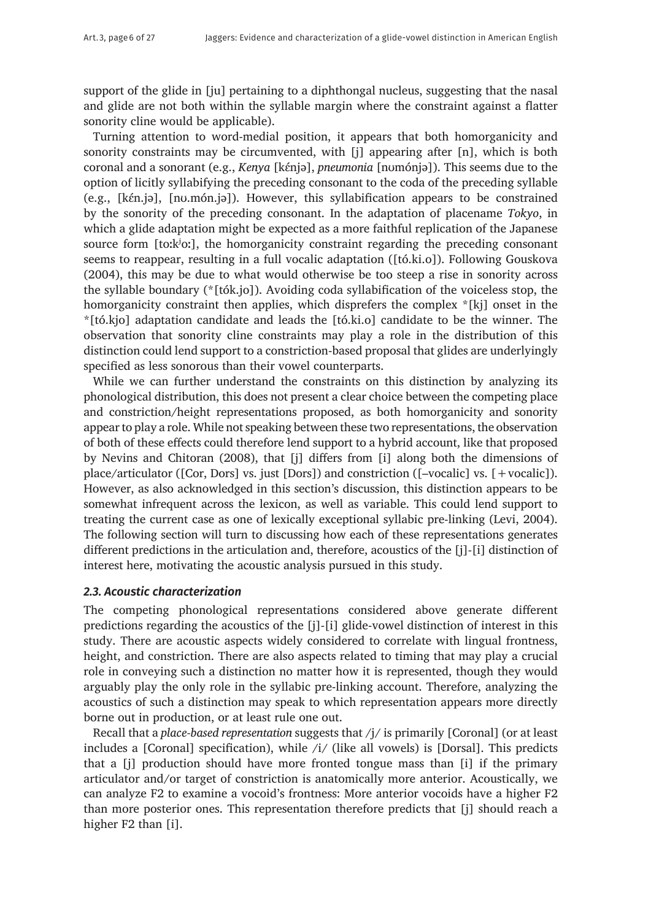support of the glide in [ju] pertaining to a diphthongal nucleus, suggesting that the nasal and glide are not both within the syllable margin where the constraint against a flatter sonority cline would be applicable).

Turning attention to word-medial position, it appears that both homorganicity and sonority constraints may be circumvented, with [j] appearing after [n], which is both coronal and a sonorant (e.g., *Kenya* [kɛ́njə], *pneumonia* [nʊmónjə]). This seems due to the option of licitly syllabifying the preceding consonant to the coda of the preceding syllable (e.g., [kɛ́n.jə], [nʊ.món.jə]). However, this syllabification appears to be constrained by the sonority of the preceding consonant. In the adaptation of placename *Tokyo*, in which a glide adaptation might be expected as a more faithful replication of the Japanese source form [toːkʲoː], the homorganicity constraint regarding the preceding consonant seems to reappear, resulting in a full vocalic adaptation ([tó.ki.o]). Following Gouskova (2004), this may be due to what would otherwise be too steep a rise in sonority across the syllable boundary (\*[tók.jo]). Avoiding coda syllabification of the voiceless stop, the homorganicity constraint then applies, which disprefers the complex \*[kj] onset in the \*[tó.kjo] adaptation candidate and leads the [tó.ki.o] candidate to be the winner. The observation that sonority cline constraints may play a role in the distribution of this distinction could lend support to a constriction-based proposal that glides are underlyingly specified as less sonorous than their vowel counterparts.

While we can further understand the constraints on this distinction by analyzing its phonological distribution, this does not present a clear choice between the competing place and constriction/height representations proposed, as both homorganicity and sonority appear to play a role. While not speaking between these two representations, the observation of both of these effects could therefore lend support to a hybrid account, like that proposed by Nevins and Chitoran (2008), that [j] differs from [i] along both the dimensions of place/articulator ([Cor, Dors] vs. just [Dors]) and constriction ([–vocalic] vs. [+vocalic]). However, as also acknowledged in this section's discussion, this distinction appears to be somewhat infrequent across the lexicon, as well as variable. This could lend support to treating the current case as one of lexically exceptional syllabic pre-linking (Levi, 2004). The following section will turn to discussing how each of these representations generates different predictions in the articulation and, therefore, acoustics of the [j]-[i] distinction of interest here, motivating the acoustic analysis pursued in this study.

## *2.3. Acoustic characterization*

The competing phonological representations considered above generate different predictions regarding the acoustics of the [j]-[i] glide-vowel distinction of interest in this study. There are acoustic aspects widely considered to correlate with lingual frontness, height, and constriction. There are also aspects related to timing that may play a crucial role in conveying such a distinction no matter how it is represented, though they would arguably play the only role in the syllabic pre-linking account. Therefore, analyzing the acoustics of such a distinction may speak to which representation appears more directly borne out in production, or at least rule one out.

Recall that a *place-based representation* suggests that /j/ is primarily [Coronal] (or at least includes a [Coronal] specification), while /i/ (like all vowels) is [Dorsal]. This predicts that a [j] production should have more fronted tongue mass than [i] if the primary articulator and/or target of constriction is anatomically more anterior. Acoustically, we can analyze F2 to examine a vocoid's frontness: More anterior vocoids have a higher F2 than more posterior ones. This representation therefore predicts that [j] should reach a higher F<sub>2</sub> than [i].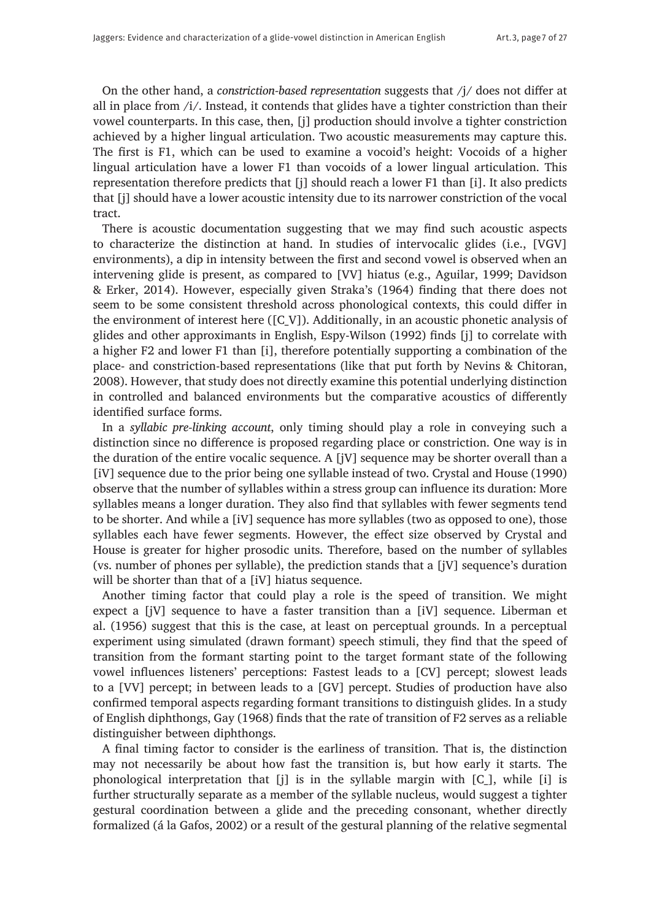On the other hand, a *constriction-based representation* suggests that /j/ does not differ at all in place from  $/i/$ . Instead, it contends that glides have a tighter constriction than their vowel counterparts. In this case, then, [j] production should involve a tighter constriction achieved by a higher lingual articulation. Two acoustic measurements may capture this. The first is F1, which can be used to examine a vocoid's height: Vocoids of a higher lingual articulation have a lower F1 than vocoids of a lower lingual articulation. This representation therefore predicts that [j] should reach a lower F1 than [i]. It also predicts that [j] should have a lower acoustic intensity due to its narrower constriction of the vocal tract.

There is acoustic documentation suggesting that we may find such acoustic aspects to characterize the distinction at hand. In studies of intervocalic glides (i.e., [VGV] environments), a dip in intensity between the first and second vowel is observed when an intervening glide is present, as compared to [VV] hiatus (e.g., Aguilar, 1999; Davidson & Erker, 2014). However, especially given Straka's (1964) finding that there does not seem to be some consistent threshold across phonological contexts, this could differ in the environment of interest here ([C\_V]). Additionally, in an acoustic phonetic analysis of glides and other approximants in English, Espy-Wilson (1992) finds [j] to correlate with a higher F2 and lower F1 than [i], therefore potentially supporting a combination of the place- and constriction-based representations (like that put forth by Nevins & Chitoran, 2008). However, that study does not directly examine this potential underlying distinction in controlled and balanced environments but the comparative acoustics of differently identified surface forms.

In a *syllabic pre-linking account*, only timing should play a role in conveying such a distinction since no difference is proposed regarding place or constriction. One way is in the duration of the entire vocalic sequence. A [jV] sequence may be shorter overall than a [iV] sequence due to the prior being one syllable instead of two. Crystal and House (1990) observe that the number of syllables within a stress group can influence its duration: More syllables means a longer duration. They also find that syllables with fewer segments tend to be shorter. And while a [iV] sequence has more syllables (two as opposed to one), those syllables each have fewer segments. However, the effect size observed by Crystal and House is greater for higher prosodic units. Therefore, based on the number of syllables (vs. number of phones per syllable), the prediction stands that a [jV] sequence's duration will be shorter than that of a [iV] hiatus sequence.

Another timing factor that could play a role is the speed of transition. We might expect a [jV] sequence to have a faster transition than a [iV] sequence. Liberman et al. (1956) suggest that this is the case, at least on perceptual grounds. In a perceptual experiment using simulated (drawn formant) speech stimuli, they find that the speed of transition from the formant starting point to the target formant state of the following vowel influences listeners' perceptions: Fastest leads to a [CV] percept; slowest leads to a [VV] percept; in between leads to a [GV] percept. Studies of production have also confirmed temporal aspects regarding formant transitions to distinguish glides. In a study of English diphthongs, Gay (1968) finds that the rate of transition of F2 serves as a reliable distinguisher between diphthongs.

A final timing factor to consider is the earliness of transition. That is, the distinction may not necessarily be about how fast the transition is, but how early it starts. The phonological interpretation that [j] is in the syllable margin with [C\_], while [i] is further structurally separate as a member of the syllable nucleus, would suggest a tighter gestural coordination between a glide and the preceding consonant, whether directly formalized (á la Gafos, 2002) or a result of the gestural planning of the relative segmental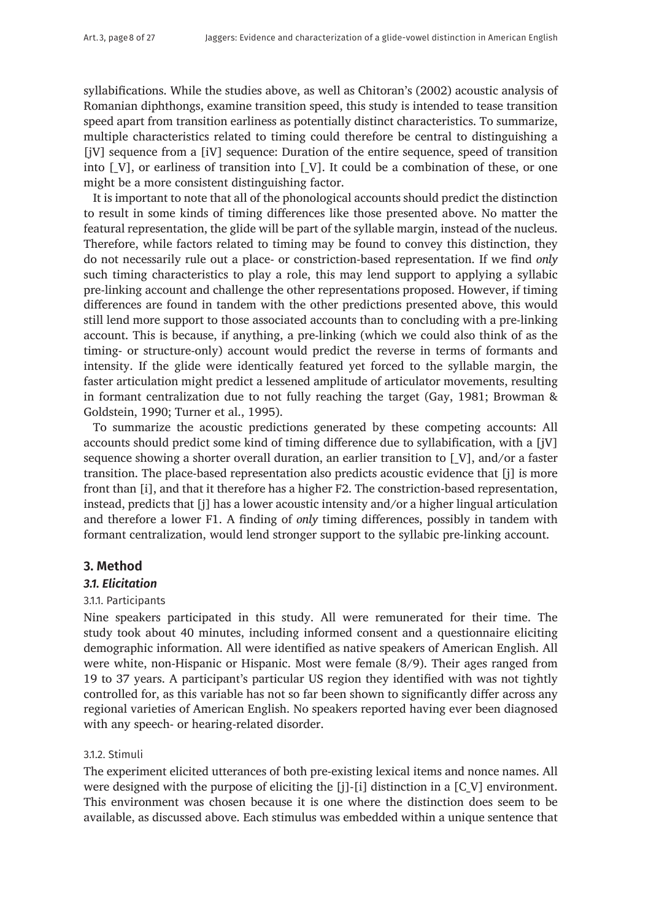syllabifications. While the studies above, as well as Chitoran's (2002) acoustic analysis of Romanian diphthongs, examine transition speed, this study is intended to tease transition speed apart from transition earliness as potentially distinct characteristics. To summarize, multiple characteristics related to timing could therefore be central to distinguishing a [jV] sequence from a [iV] sequence: Duration of the entire sequence, speed of transition into  $[V]$ , or earliness of transition into  $[V]$ . It could be a combination of these, or one might be a more consistent distinguishing factor.

It is important to note that all of the phonological accounts should predict the distinction to result in some kinds of timing differences like those presented above. No matter the featural representation, the glide will be part of the syllable margin, instead of the nucleus. Therefore, while factors related to timing may be found to convey this distinction, they do not necessarily rule out a place- or constriction-based representation. If we find *only*  such timing characteristics to play a role, this may lend support to applying a syllabic pre-linking account and challenge the other representations proposed. However, if timing differences are found in tandem with the other predictions presented above, this would still lend more support to those associated accounts than to concluding with a pre-linking account. This is because, if anything, a pre-linking (which we could also think of as the timing- or structure-only) account would predict the reverse in terms of formants and intensity. If the glide were identically featured yet forced to the syllable margin, the faster articulation might predict a lessened amplitude of articulator movements, resulting in formant centralization due to not fully reaching the target (Gay, 1981; Browman & Goldstein, 1990; Turner et al., 1995).

To summarize the acoustic predictions generated by these competing accounts: All accounts should predict some kind of timing difference due to syllabification, with a [jV] sequence showing a shorter overall duration, an earlier transition to [\_V], and/or a faster transition. The place-based representation also predicts acoustic evidence that [j] is more front than [i], and that it therefore has a higher F2. The constriction-based representation, instead, predicts that [j] has a lower acoustic intensity and/or a higher lingual articulation and therefore a lower F1. A finding of *only* timing differences, possibly in tandem with formant centralization, would lend stronger support to the syllabic pre-linking account.

## **3. Method**

## *3.1. Elicitation*

## 3.1.1. Participants

Nine speakers participated in this study. All were remunerated for their time. The study took about 40 minutes, including informed consent and a questionnaire eliciting demographic information. All were identified as native speakers of American English. All were white, non-Hispanic or Hispanic. Most were female (8/9). Their ages ranged from 19 to 37 years. A participant's particular US region they identified with was not tightly controlled for, as this variable has not so far been shown to significantly differ across any regional varieties of American English. No speakers reported having ever been diagnosed with any speech- or hearing-related disorder.

## 3.1.2. Stimuli

The experiment elicited utterances of both pre-existing lexical items and nonce names. All were designed with the purpose of eliciting the  $[i]$ - $[i]$  distinction in a  $[C\ V]$  environment. This environment was chosen because it is one where the distinction does seem to be available, as discussed above. Each stimulus was embedded within a unique sentence that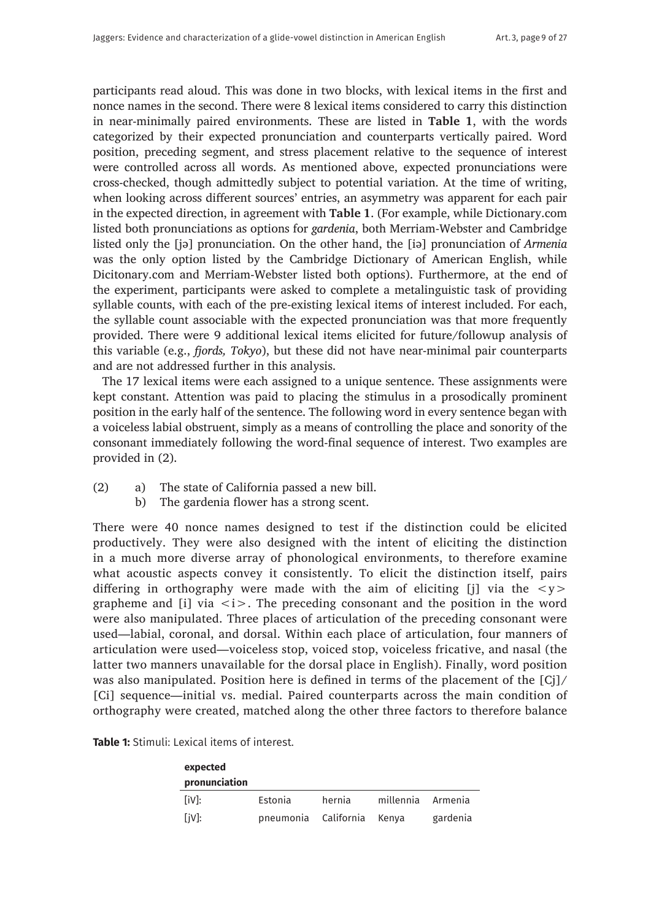participants read aloud. This was done in two blocks, with lexical items in the first and nonce names in the second. There were 8 lexical items considered to carry this distinction in near-minimally paired environments. These are listed in **Table 1**, with the words categorized by their expected pronunciation and counterparts vertically paired. Word position, preceding segment, and stress placement relative to the sequence of interest were controlled across all words. As mentioned above, expected pronunciations were cross-checked, though admittedly subject to potential variation. At the time of writing, when looking across different sources' entries, an asymmetry was apparent for each pair in the expected direction, in agreement with **Table 1**. (For example, while [Dictionary.com](http://Dictionary.com) listed both pronunciations as options for *gardenia*, both Merriam-Webster and Cambridge listed only the [jə] pronunciation. On the other hand, the [iə] pronunciation of *Armenia*  was the only option listed by the Cambridge Dictionary of American English, while [Dicitonary.com](http://Dicitonary.com) and Merriam-Webster listed both options). Furthermore, at the end of the experiment, participants were asked to complete a metalinguistic task of providing syllable counts, with each of the pre-existing lexical items of interest included. For each, the syllable count associable with the expected pronunciation was that more frequently provided. There were 9 additional lexical items elicited for future/followup analysis of this variable (e.g., *fjords, Tokyo*), but these did not have near-minimal pair counterparts and are not addressed further in this analysis.

The 17 lexical items were each assigned to a unique sentence. These assignments were kept constant. Attention was paid to placing the stimulus in a prosodically prominent position in the early half of the sentence. The following word in every sentence began with a voiceless labial obstruent, simply as a means of controlling the place and sonority of the consonant immediately following the word-final sequence of interest. Two examples are provided in (2).

- (2) a) The state of California passed a new bill.
	- b) The gardenia flower has a strong scent.

There were 40 nonce names designed to test if the distinction could be elicited productively. They were also designed with the intent of eliciting the distinction in a much more diverse array of phonological environments, to therefore examine what acoustic aspects convey it consistently. To elicit the distinction itself, pairs differing in orthography were made with the aim of eliciting [j] via the  $\langle y \rangle$ grapheme and [i] via  $\langle i \rangle$ . The preceding consonant and the position in the word were also manipulated. Three places of articulation of the preceding consonant were used—labial, coronal, and dorsal. Within each place of articulation, four manners of articulation were used—voiceless stop, voiced stop, voiceless fricative, and nasal (the latter two manners unavailable for the dorsal place in English). Finally, word position was also manipulated. Position here is defined in terms of the placement of the [Cj]/ [Ci] sequence—initial vs. medial. Paired counterparts across the main condition of orthography were created, matched along the other three factors to therefore balance

| expected<br>pronunciation |                            |        |                   |          |
|---------------------------|----------------------------|--------|-------------------|----------|
| liv <sub>l:</sub>         | Estonia                    | hernia | millennia Armenia |          |
| $[iV]$ :                  | pneumonia California Kenya |        |                   | gardenia |

**Table 1:** Stimuli: Lexical items of interest.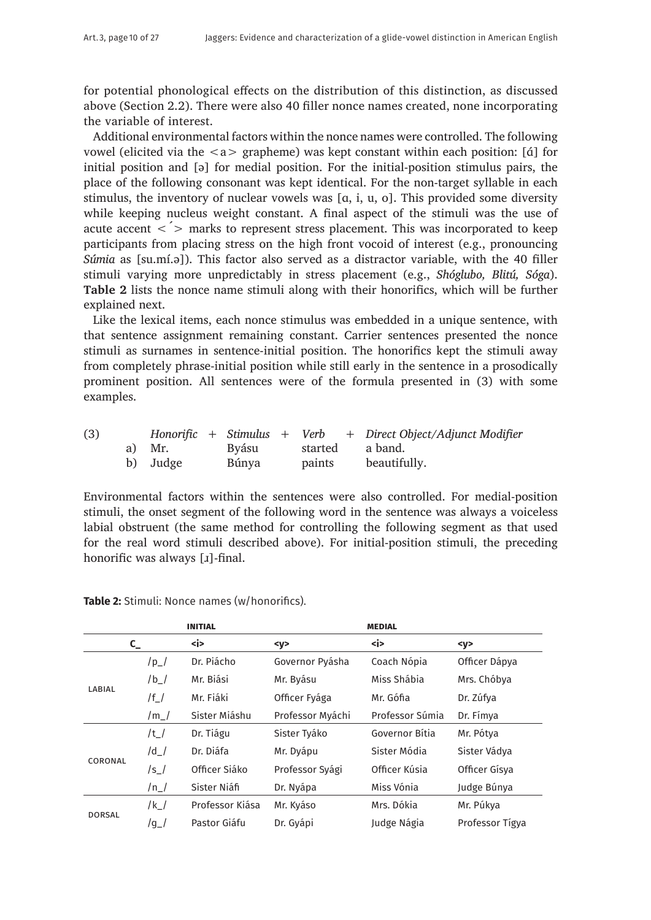for potential phonological effects on the distribution of this distinction, as discussed above (Section 2.2). There were also 40 filler nonce names created, none incorporating the variable of interest.

Additional environmental factors within the nonce names were controlled. The following vowel (elicited via the  $\langle a \rangle$  grapheme) was kept constant within each position: [ $\alpha$ ] for initial position and [ə] for medial position. For the initial-position stimulus pairs, the place of the following consonant was kept identical. For the non-target syllable in each stimulus, the inventory of nuclear vowels was  $[a, i, u, o]$ . This provided some diversity while keeping nucleus weight constant. A final aspect of the stimuli was the use of acute accent  $\langle \rangle$  marks to represent stress placement. This was incorporated to keep participants from placing stress on the high front vocoid of interest (e.g., pronouncing *Súmia* as [su.mí.ə]). This factor also served as a distractor variable, with the 40 filler stimuli varying more unpredictably in stress placement (e.g., *Shóglubo, Blitú, Sóga*). **Table 2** lists the nonce name stimuli along with their honorifics, which will be further explained next.

Like the lexical items, each nonce stimulus was embedded in a unique sentence, with that sentence assignment remaining constant. Carrier sentences presented the nonce stimuli as surnames in sentence-initial position. The honorifics kept the stimuli away from completely phrase-initial position while still early in the sentence in a prosodically prominent position. All sentences were of the formula presented in (3) with some examples.

| (3) |          |       |        | Honorific + Stimulus + Verb + Direct Object/Adjunct Modifier |
|-----|----------|-------|--------|--------------------------------------------------------------|
|     | a) Mr.   | Byásu |        | started a band.                                              |
|     | b) Judge | Búnya | paints | beautifully.                                                 |

Environmental factors within the sentences were also controlled. For medial-position stimuli, the onset segment of the following word in the sentence was always a voiceless labial obstruent (the same method for controlling the following segment as that used for the real word stimuli described above). For initial-position stimuli, the preceding honorific was always [1]-final.

|               |               | <b>INITIAL</b>  |                  | <b>MEDIAL</b>   |                 |
|---------------|---------------|-----------------|------------------|-----------------|-----------------|
| $C_{-}$       |               | <i></i>         | $<$ y>           | <i></i>         | < y >           |
|               | $/p_$         | Dr. Piácho      | Governor Pyásha  | Coach Nópia     | Officer Dápya   |
|               | $/b_$         | Mr. Biási       | Mr. Byásu        | Miss Shábia     | Mrs. Chóbya     |
| LABIAL        | $/f_{\perp}/$ | Mr. Fiáki       | Officer Fyága    | Mr. Gófia       | Dr. Zúfya       |
|               | $/m_l$        | Sister Miáshu   | Professor Myáchi | Professor Súmia | Dr. Fímya       |
|               | $/t_{\perp}/$ | Dr. Tiágu       | Sister Tyáko     | Governor Bítia  | Mr. Pótya       |
|               | /d /          | Dr. Diáfa       | Mr. Dyápu        | Sister Módia    | Sister Vádya    |
| CORONAL       | $/s_$         | Officer Siáko   | Professor Syági  | Officer Kúsia   | Officer Gísva   |
|               | $/n_$         | Sister Niáfi    | Dr. Nyápa        | Miss Vónia      | Judge Búnya     |
| <b>DORSAL</b> | /k_/          | Professor Kiása | Mr. Kyáso        | Mrs. Dókia      | Mr. Púkya       |
|               | $/g_l$        | Pastor Giáfu    | Dr. Gyápi        | Judge Nágia     | Professor Tígya |

**Table 2:** Stimuli: Nonce names (w/honorifics).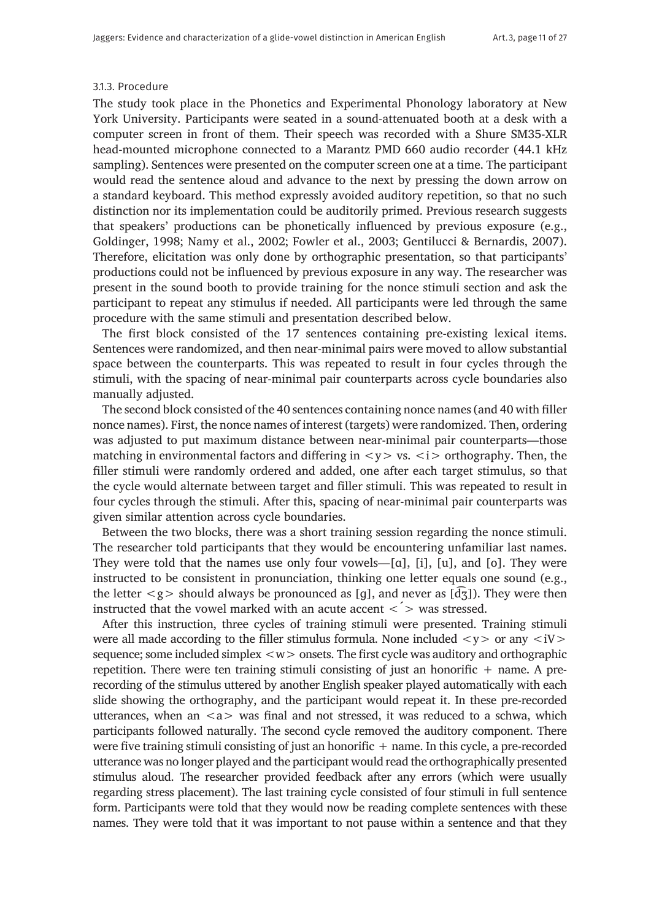#### 3.1.3. Procedure

The study took place in the Phonetics and Experimental Phonology laboratory at New York University. Participants were seated in a sound-attenuated booth at a desk with a computer screen in front of them. Their speech was recorded with a Shure SM35-XLR head-mounted microphone connected to a Marantz PMD 660 audio recorder (44.1 kHz sampling). Sentences were presented on the computer screen one at a time. The participant would read the sentence aloud and advance to the next by pressing the down arrow on a standard keyboard. This method expressly avoided auditory repetition, so that no such distinction nor its implementation could be auditorily primed. Previous research suggests that speakers' productions can be phonetically influenced by previous exposure (e.g., Goldinger, 1998; Namy et al., 2002; Fowler et al., 2003; Gentilucci & Bernardis, 2007). Therefore, elicitation was only done by orthographic presentation, so that participants' productions could not be influenced by previous exposure in any way. The researcher was present in the sound booth to provide training for the nonce stimuli section and ask the participant to repeat any stimulus if needed. All participants were led through the same procedure with the same stimuli and presentation described below.

The first block consisted of the 17 sentences containing pre-existing lexical items. Sentences were randomized, and then near-minimal pairs were moved to allow substantial space between the counterparts. This was repeated to result in four cycles through the stimuli, with the spacing of near-minimal pair counterparts across cycle boundaries also manually adjusted.

The second block consisted of the 40 sentences containing nonce names (and 40 with filler nonce names). First, the nonce names of interest (targets) were randomized. Then, ordering was adjusted to put maximum distance between near-minimal pair counterparts—those matching in environmental factors and differing in  $\langle y \rangle$  vs.  $\langle i \rangle$  orthography. Then, the filler stimuli were randomly ordered and added, one after each target stimulus, so that the cycle would alternate between target and filler stimuli. This was repeated to result in four cycles through the stimuli. After this, spacing of near-minimal pair counterparts was given similar attention across cycle boundaries.

Between the two blocks, there was a short training session regarding the nonce stimuli. The researcher told participants that they would be encountering unfamiliar last names. They were told that the names use only four vowels—[ɑ], [i], [u], and [o]. They were instructed to be consistent in pronunciation, thinking one letter equals one sound (e.g., the letter  $\langle g \rangle$  should always be pronounced as [q], and never as [ $\langle \overline{d} \overline{g} \rangle$ ]. They were then instructed that the vowel marked with an acute accent  $\langle$  > was stressed.

After this instruction, three cycles of training stimuli were presented. Training stimuli were all made according to the filler stimulus formula. None included  $\langle y \rangle$  or any  $\langle iV \rangle$ sequence; some included simplex  $\langle w \rangle$  onsets. The first cycle was auditory and orthographic repetition. There were ten training stimuli consisting of just an honorific  $+$  name. A prerecording of the stimulus uttered by another English speaker played automatically with each slide showing the orthography, and the participant would repeat it. In these pre-recorded utterances, when an  $\langle a \rangle$  was final and not stressed, it was reduced to a schwa, which participants followed naturally. The second cycle removed the auditory component. There were five training stimuli consisting of just an honorific  $+$  name. In this cycle, a pre-recorded utterance was no longer played and the participant would read the orthographically presented stimulus aloud. The researcher provided feedback after any errors (which were usually regarding stress placement). The last training cycle consisted of four stimuli in full sentence form. Participants were told that they would now be reading complete sentences with these names. They were told that it was important to not pause within a sentence and that they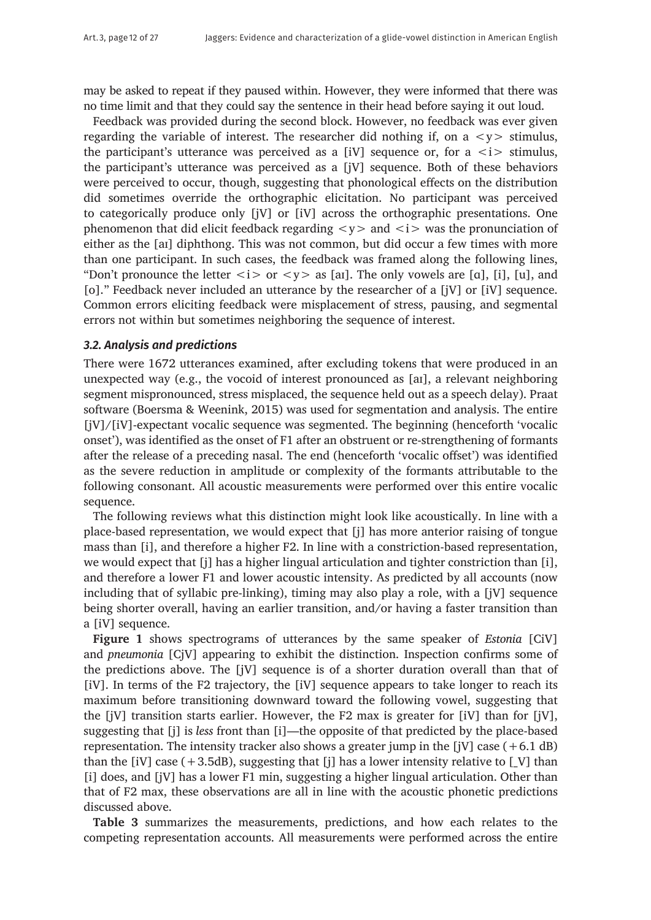may be asked to repeat if they paused within. However, they were informed that there was no time limit and that they could say the sentence in their head before saying it out loud.

Feedback was provided during the second block. However, no feedback was ever given regarding the variable of interest. The researcher did nothing if, on a  $\langle y \rangle$  stimulus, the participant's utterance was perceived as a  $[iV]$  sequence or, for a  $\langle i \rangle$  stimulus, the participant's utterance was perceived as a [jV] sequence. Both of these behaviors were perceived to occur, though, suggesting that phonological effects on the distribution did sometimes override the orthographic elicitation. No participant was perceived to categorically produce only [jV] or [iV] across the orthographic presentations. One phenomenon that did elicit feedback regarding  $\langle y \rangle$  and  $\langle i \rangle$  was the pronunciation of either as the [aɪ] diphthong. This was not common, but did occur a few times with more than one participant. In such cases, the feedback was framed along the following lines, "Don't pronounce the letter  $\langle i \rangle$  or  $\langle y \rangle$  as [ai]. The only vowels are [a], [i], [u], and [o]." Feedback never included an utterance by the researcher of a [jV] or [iV] sequence. Common errors eliciting feedback were misplacement of stress, pausing, and segmental errors not within but sometimes neighboring the sequence of interest.

## *3.2. Analysis and predictions*

There were 1672 utterances examined, after excluding tokens that were produced in an unexpected way (e.g., the vocoid of interest pronounced as [aɪ], a relevant neighboring segment mispronounced, stress misplaced, the sequence held out as a speech delay). Praat software (Boersma & Weenink, 2015) was used for segmentation and analysis. The entire [jV]/[iV]-expectant vocalic sequence was segmented. The beginning (henceforth 'vocalic onset'), was identified as the onset of F1 after an obstruent or re-strengthening of formants after the release of a preceding nasal. The end (henceforth 'vocalic offset') was identified as the severe reduction in amplitude or complexity of the formants attributable to the following consonant. All acoustic measurements were performed over this entire vocalic sequence.

The following reviews what this distinction might look like acoustically. In line with a place-based representation, we would expect that [j] has more anterior raising of tongue mass than [i], and therefore a higher F2. In line with a constriction-based representation, we would expect that [j] has a higher lingual articulation and tighter constriction than [i], and therefore a lower F1 and lower acoustic intensity. As predicted by all accounts (now including that of syllabic pre-linking), timing may also play a role, with a [jV] sequence being shorter overall, having an earlier transition, and/or having a faster transition than a [iV] sequence.

**Figure 1** shows spectrograms of utterances by the same speaker of *Estonia* [CiV] and *pneumonia* [CjV] appearing to exhibit the distinction. Inspection confirms some of the predictions above. The [jV] sequence is of a shorter duration overall than that of [iV]. In terms of the F2 trajectory, the [iV] sequence appears to take longer to reach its maximum before transitioning downward toward the following vowel, suggesting that the [jV] transition starts earlier. However, the F2 max is greater for [iV] than for [jV], suggesting that [j] is *less* front than [i]—the opposite of that predicted by the place-based representation. The intensity tracker also shows a greater jump in the [jV] case  $(+6.1 \text{ dB})$ than the [iV] case  $(+3.5dB)$ , suggesting that [i] has a lower intensity relative to [V] than [i] does, and [jV] has a lower F1 min, suggesting a higher lingual articulation. Other than that of F2 max, these observations are all in line with the acoustic phonetic predictions discussed above.

**Table 3** summarizes the measurements, predictions, and how each relates to the competing representation accounts. All measurements were performed across the entire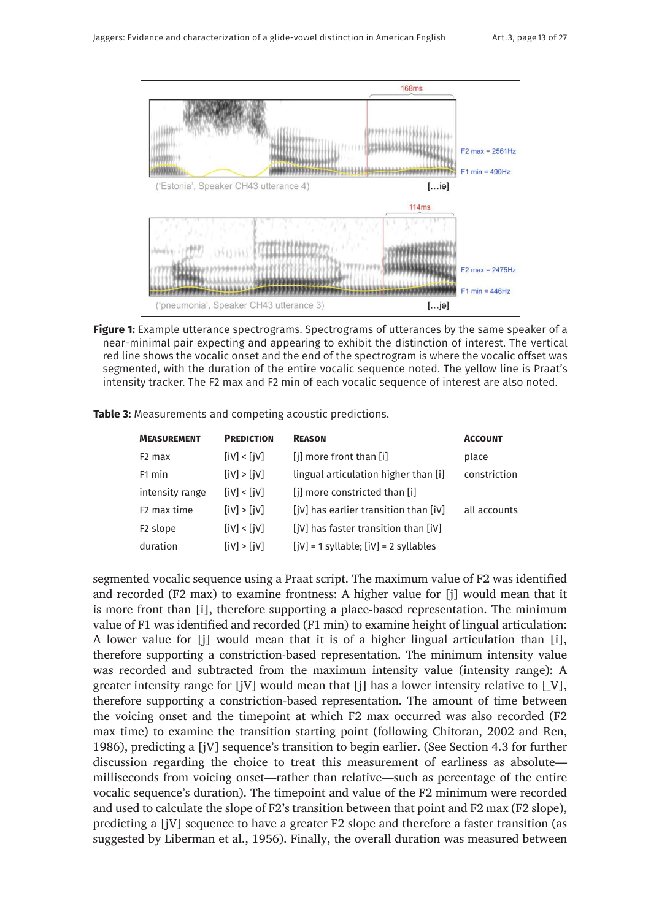

**Figure 1:** Example utterance spectrograms. Spectrograms of utterances by the same speaker of a near-minimal pair expecting and appearing to exhibit the distinction of interest. The vertical red line shows the vocalic onset and the end of the spectrogram is where the vocalic offset was segmented, with the duration of the entire vocalic sequence noted. The yellow line is Praat's intensity tracker. The F2 max and F2 min of each vocalic sequence of interest are also noted.

| <b>MEASUREMENT</b>      | <b>PREDICTION</b> | <b>REASON</b>                                 | <b>ACCOUNT</b> |
|-------------------------|-------------------|-----------------------------------------------|----------------|
| F <sub>2</sub> max      | [IV] < [IV]       | [j] more front than [i]                       | place          |
| F <sub>1</sub> min      | [IV] > [jV]       | lingual articulation higher than [i]          | constriction   |
| intensity range         | [IV] < [IV]       | [i] more constricted than [i]                 |                |
| F <sub>2</sub> max time | [IV] > [jV]       | [jV] has earlier transition than [iV]         | all accounts   |
| F <sub>2</sub> slope    | [IV] < [IV]       | [jV] has faster transition than [iV]          |                |
| duration                | [IV] > [JV]       | $[ jV ] = 1$ syllable; $[ iV ] = 2$ syllables |                |

**Table 3:** Measurements and competing acoustic predictions.

segmented vocalic sequence using a Praat script. The maximum value of F2 was identified and recorded (F2 max) to examine frontness: A higher value for [j] would mean that it is more front than [i], therefore supporting a place-based representation. The minimum value of F1 was identified and recorded (F1 min) to examine height of lingual articulation: A lower value for [j] would mean that it is of a higher lingual articulation than [i], therefore supporting a constriction-based representation. The minimum intensity value was recorded and subtracted from the maximum intensity value (intensity range): A greater intensity range for  $[iV]$  would mean that  $[i]$  has a lower intensity relative to  $[V]$ , therefore supporting a constriction-based representation. The amount of time between the voicing onset and the timepoint at which F2 max occurred was also recorded (F2 max time) to examine the transition starting point (following Chitoran, 2002 and Ren, 1986), predicting a [jV] sequence's transition to begin earlier. (See Section 4.3 for further discussion regarding the choice to treat this measurement of earliness as absolute milliseconds from voicing onset—rather than relative—such as percentage of the entire vocalic sequence's duration). The timepoint and value of the F2 minimum were recorded and used to calculate the slope of F2's transition between that point and F2 max (F2 slope), predicting a [jV] sequence to have a greater F2 slope and therefore a faster transition (as suggested by Liberman et al., 1956). Finally, the overall duration was measured between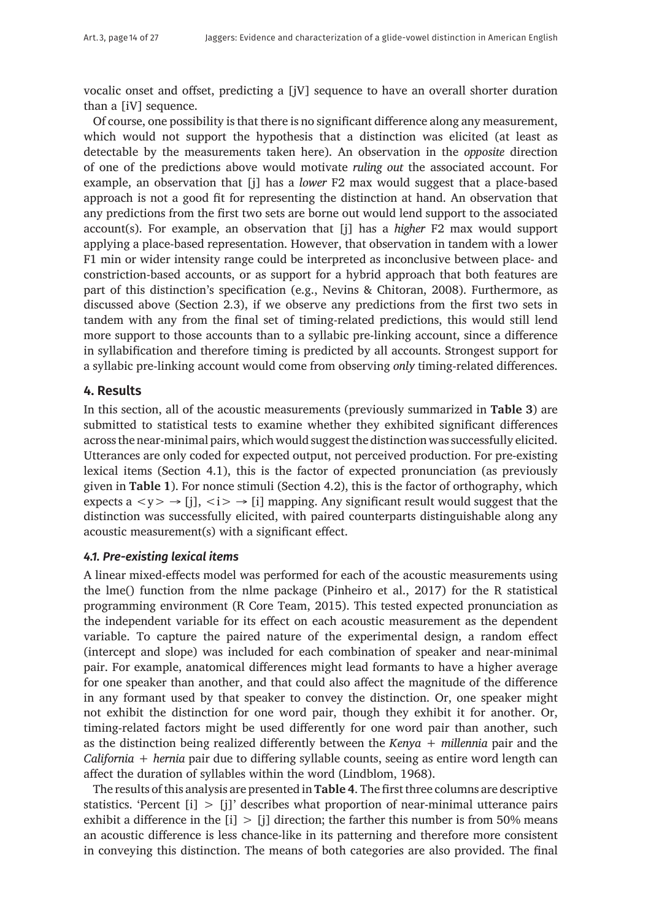vocalic onset and offset, predicting a [jV] sequence to have an overall shorter duration than a [iV] sequence.

Of course, one possibility is that there is no significant difference along any measurement, which would not support the hypothesis that a distinction was elicited (at least as detectable by the measurements taken here). An observation in the *opposite* direction of one of the predictions above would motivate *ruling out* the associated account. For example, an observation that [j] has a *lower* F2 max would suggest that a place-based approach is not a good fit for representing the distinction at hand. An observation that any predictions from the first two sets are borne out would lend support to the associated account(s). For example, an observation that [j] has a *higher* F2 max would support applying a place-based representation. However, that observation in tandem with a lower F1 min or wider intensity range could be interpreted as inconclusive between place- and constriction-based accounts, or as support for a hybrid approach that both features are part of this distinction's specification (e.g., Nevins & Chitoran, 2008). Furthermore, as discussed above (Section 2.3), if we observe any predictions from the first two sets in tandem with any from the final set of timing-related predictions, this would still lend more support to those accounts than to a syllabic pre-linking account, since a difference in syllabification and therefore timing is predicted by all accounts. Strongest support for a syllabic pre-linking account would come from observing *only* timing-related differences.

# **4. Results**

In this section, all of the acoustic measurements (previously summarized in **Table 3**) are submitted to statistical tests to examine whether they exhibited significant differences across the near-minimal pairs, which would suggest the distinction was successfully elicited. Utterances are only coded for expected output, not perceived production. For pre-existing lexical items (Section 4.1), this is the factor of expected pronunciation (as previously given in **Table 1**). For nonce stimuli (Section 4.2), this is the factor of orthography, which expects a  $\langle y \rangle \rightarrow [i], \langle i \rangle \rightarrow [i]$  mapping. Any significant result would suggest that the distinction was successfully elicited, with paired counterparts distinguishable along any acoustic measurement(s) with a significant effect.

## *4.1. Pre-existing lexical items*

A linear mixed-effects model was performed for each of the acoustic measurements using the lme() function from the nlme package (Pinheiro et al., 2017) for the R statistical programming environment (R Core Team, 2015). This tested expected pronunciation as the independent variable for its effect on each acoustic measurement as the dependent variable. To capture the paired nature of the experimental design, a random effect (intercept and slope) was included for each combination of speaker and near-minimal pair. For example, anatomical differences might lead formants to have a higher average for one speaker than another, and that could also affect the magnitude of the difference in any formant used by that speaker to convey the distinction. Or, one speaker might not exhibit the distinction for one word pair, though they exhibit it for another. Or, timing-related factors might be used differently for one word pair than another, such as the distinction being realized differently between the *Kenya* + *millennia* pair and the *California* + *hernia* pair due to differing syllable counts, seeing as entire word length can affect the duration of syllables within the word (Lindblom, 1968).

The results of this analysis are presented in **Table 4**. The first three columns are descriptive statistics. 'Percent [i] > [j]' describes what proportion of near-minimal utterance pairs exhibit a difference in the  $[i] > [i]$  direction; the farther this number is from 50% means an acoustic difference is less chance-like in its patterning and therefore more consistent in conveying this distinction. The means of both categories are also provided. The final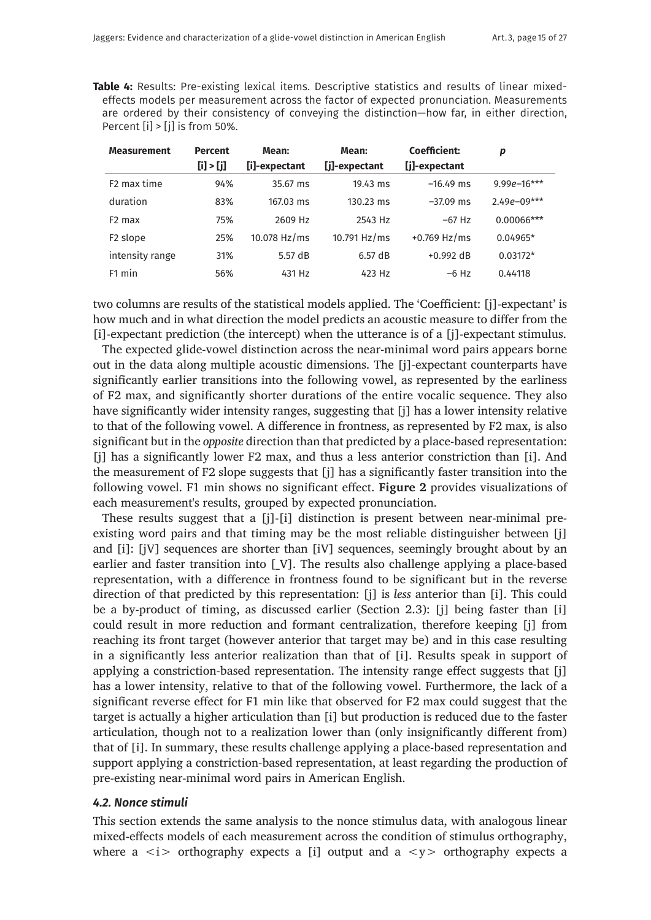**Table 4:** Results: Pre-existing lexical items. Descriptive statistics and results of linear mixedeffects models per measurement across the factor of expected pronunciation. Measurements are ordered by their consistency of conveying the distinction—how far, in either direction, Percent [i] > [j] is from 50%.

| <b>Measurement</b>      | <b>Percent</b><br>[i] > [j] | Mean:<br>[i]-expectant | Mean:<br>[j]-expectant | Coefficient:<br>[j]-expectant | p               |
|-------------------------|-----------------------------|------------------------|------------------------|-------------------------------|-----------------|
| F <sub>2</sub> max time | 94%                         | 35.67 ms               | $19.43 \text{ ms}$     | $-16.49$ ms                   | $9.99e-16***$   |
| duration                | 83%                         | 167.03 ms              | 130.23 ms              | $-37.09$ ms                   | $2.49e - 09***$ |
| F <sub>2</sub> max      | 75%                         | 2609 Hz                | 2543 Hz                | $-67$ Hz                      | $0.00066***$    |
| F <sub>2</sub> slope    | 25%                         | 10.078 $Hz/ms$         | 10.791 $Hz/ms$         | $+0.769$ Hz/ms                | $0.04965*$      |
| intensity range         | 31%                         | 5.57dB                 | 6.57dB                 | $+0.992$ dB                   | $0.03172*$      |
| F1 min                  | 56%                         | 431 Hz                 | 423 Hz                 | $-6$ Hz                       | 0.44118         |

two columns are results of the statistical models applied. The 'Coefficient: [j]-expectant' is how much and in what direction the model predicts an acoustic measure to differ from the [i]-expectant prediction (the intercept) when the utterance is of a [j]-expectant stimulus.

The expected glide-vowel distinction across the near-minimal word pairs appears borne out in the data along multiple acoustic dimensions. The [j]-expectant counterparts have significantly earlier transitions into the following vowel, as represented by the earliness of F2 max, and significantly shorter durations of the entire vocalic sequence. They also have significantly wider intensity ranges, suggesting that [j] has a lower intensity relative to that of the following vowel. A difference in frontness, as represented by F2 max, is also significant but in the *opposite* direction than that predicted by a place-based representation: [j] has a significantly lower F2 max, and thus a less anterior constriction than [i]. And the measurement of F2 slope suggests that [j] has a significantly faster transition into the following vowel. F1 min shows no significant effect. **Figure 2** provides visualizations of each measurement's results, grouped by expected pronunciation.

These results suggest that a [j]-[i] distinction is present between near-minimal preexisting word pairs and that timing may be the most reliable distinguisher between [j] and [i]: [jV] sequences are shorter than [iV] sequences, seemingly brought about by an earlier and faster transition into [\_V]. The results also challenge applying a place-based representation, with a difference in frontness found to be significant but in the reverse direction of that predicted by this representation: [j] is *less* anterior than [i]. This could be a by-product of timing, as discussed earlier (Section 2.3): [j] being faster than [i] could result in more reduction and formant centralization, therefore keeping [j] from reaching its front target (however anterior that target may be) and in this case resulting in a significantly less anterior realization than that of [i]. Results speak in support of applying a constriction-based representation. The intensity range effect suggests that [j] has a lower intensity, relative to that of the following vowel. Furthermore, the lack of a significant reverse effect for F1 min like that observed for F2 max could suggest that the target is actually a higher articulation than [i] but production is reduced due to the faster articulation, though not to a realization lower than (only insignificantly different from) that of [i]. In summary, these results challenge applying a place-based representation and support applying a constriction-based representation, at least regarding the production of pre-existing near-minimal word pairs in American English.

### *4.2. Nonce stimuli*

This section extends the same analysis to the nonce stimulus data, with analogous linear mixed-effects models of each measurement across the condition of stimulus orthography, where a  $\langle i \rangle$  orthography expects a [i] output and a  $\langle y \rangle$  orthography expects a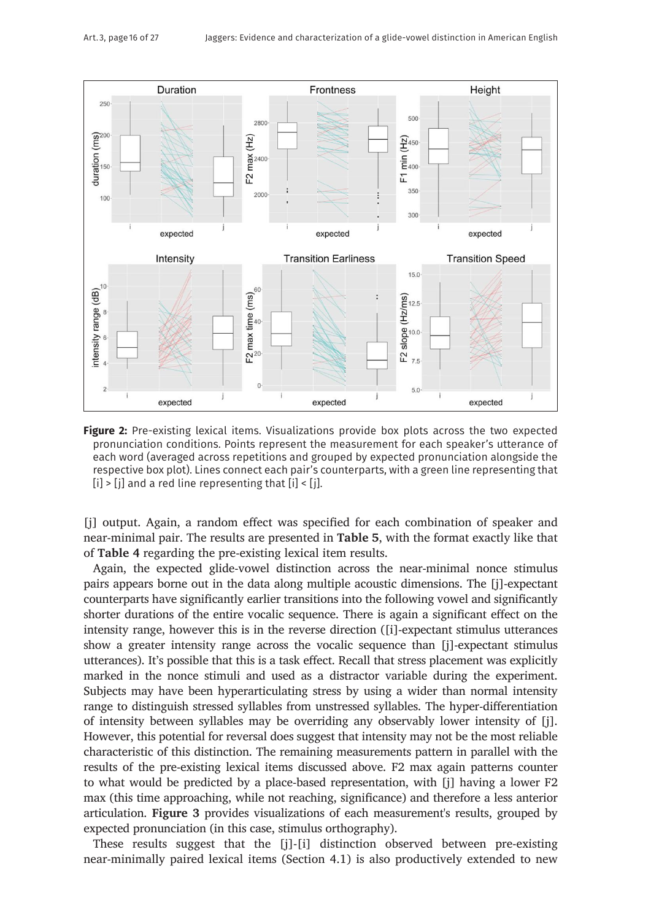

**Figure 2:** Pre-existing lexical items. Visualizations provide box plots across the two expected pronunciation conditions. Points represent the measurement for each speaker's utterance of each word (averaged across repetitions and grouped by expected pronunciation alongside the respective box plot). Lines connect each pair's counterparts, with a green line representing that  $[i]$  >  $[j]$  and a red line representing that  $[i]$  <  $[j]$ .

[j] output. Again, a random effect was specified for each combination of speaker and near-minimal pair. The results are presented in **Table 5**, with the format exactly like that of **Table 4** regarding the pre-existing lexical item results.

Again, the expected glide-vowel distinction across the near-minimal nonce stimulus pairs appears borne out in the data along multiple acoustic dimensions. The [j]-expectant counterparts have significantly earlier transitions into the following vowel and significantly shorter durations of the entire vocalic sequence. There is again a significant effect on the intensity range, however this is in the reverse direction ([i]-expectant stimulus utterances show a greater intensity range across the vocalic sequence than [j]-expectant stimulus utterances). It's possible that this is a task effect. Recall that stress placement was explicitly marked in the nonce stimuli and used as a distractor variable during the experiment. Subjects may have been hyperarticulating stress by using a wider than normal intensity range to distinguish stressed syllables from unstressed syllables. The hyper-differentiation of intensity between syllables may be overriding any observably lower intensity of [j]. However, this potential for reversal does suggest that intensity may not be the most reliable characteristic of this distinction. The remaining measurements pattern in parallel with the results of the pre-existing lexical items discussed above. F2 max again patterns counter to what would be predicted by a place-based representation, with [j] having a lower F2 max (this time approaching, while not reaching, significance) and therefore a less anterior articulation. **Figure 3** provides visualizations of each measurement's results, grouped by expected pronunciation (in this case, stimulus orthography).

These results suggest that the [j]-[i] distinction observed between pre-existing near-minimally paired lexical items (Section 4.1) is also productively extended to new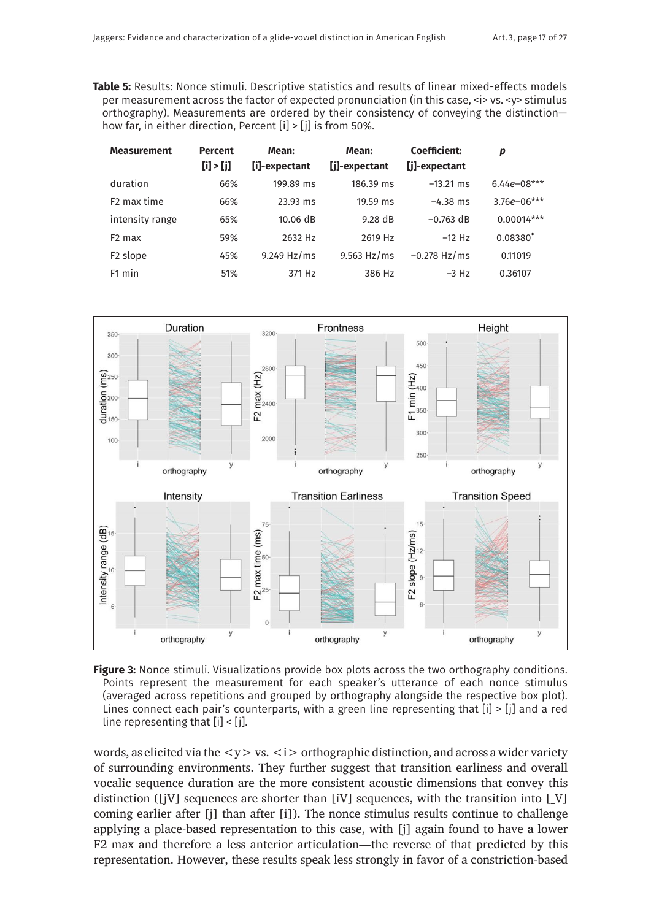**Table 5:** Results: Nonce stimuli. Descriptive statistics and results of linear mixed-effects models per measurement across the factor of expected pronunciation (in this case,  $\langle$ i> vs.  $\langle$ y> stimulus orthography). Measurements are ordered by their consistency of conveying the distinction how far, in either direction, Percent [i] > [j] is from 50%.

| <b>Measurement</b>      | <b>Percent</b><br>[i] > [j] | Mean:<br>[i]-expectant | Mean:<br>[j]-expectant | Coefficient:<br>[j]-expectant | p               |
|-------------------------|-----------------------------|------------------------|------------------------|-------------------------------|-----------------|
| duration                | 66%                         | 199.89 ms              | 186.39 ms              | $-13.21$ ms                   | $6.44e - 08***$ |
| F <sub>2</sub> max time | 66%                         | 23.93 ms               | 19.59 ms               | $-4.38$ ms                    | $3.76e - 06***$ |
| intensity range         | 65%                         | $10.06$ dB             | 9.28dB                 | $-0.763$ dB                   | $0.00014***$    |
| F <sub>2</sub> max      | 59%                         | 2632 Hz                | 2619 Hz                | $-12$ Hz                      | $0.08380^*$     |
| F <sub>2</sub> slope    | 45%                         | $9.249$ Hz/ms          | $9.563$ Hz/ms          | $-0.278$ Hz/ms                | 0.11019         |
| F <sub>1</sub> min      | 51%                         | 371 Hz                 | 386 Hz                 | $-3$ Hz                       | 0.36107         |



**Figure 3:** Nonce stimuli. Visualizations provide box plots across the two orthography conditions. Points represent the measurement for each speaker's utterance of each nonce stimulus (averaged across repetitions and grouped by orthography alongside the respective box plot). Lines connect each pair's counterparts, with a green line representing that [i] > [j] and a red line representing that [i] < [j].

words, as elicited via the  $\langle y \rangle$  vs.  $\langle i \rangle$  orthographic distinction, and across a wider variety of surrounding environments. They further suggest that transition earliness and overall vocalic sequence duration are the more consistent acoustic dimensions that convey this distinction ([jV] sequences are shorter than [iV] sequences, with the transition into  $[V]$ coming earlier after [j] than after [i]). The nonce stimulus results continue to challenge applying a place-based representation to this case, with [j] again found to have a lower F2 max and therefore a less anterior articulation—the reverse of that predicted by this representation. However, these results speak less strongly in favor of a constriction-based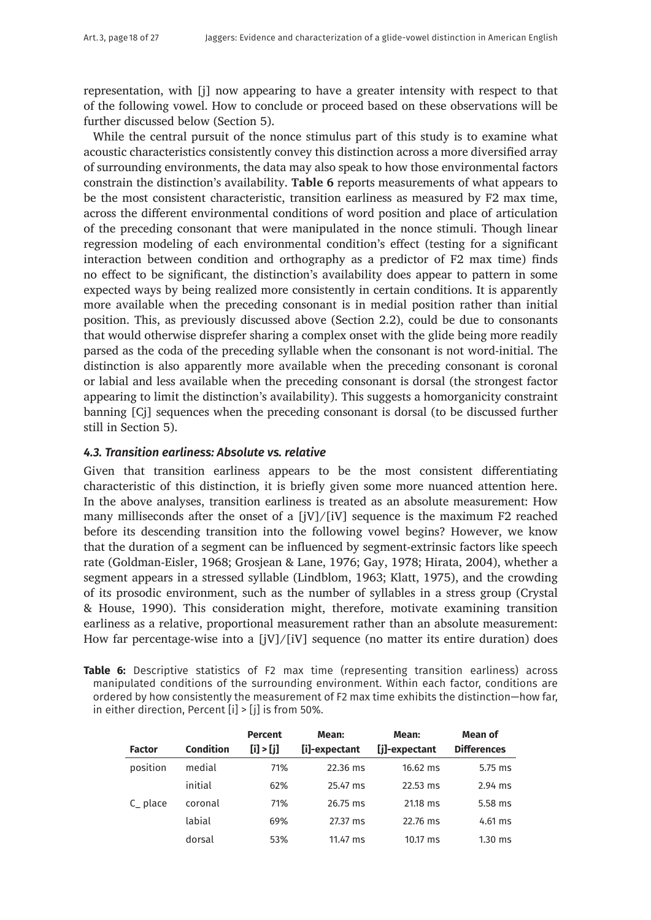representation, with [j] now appearing to have a greater intensity with respect to that of the following vowel. How to conclude or proceed based on these observations will be further discussed below (Section 5).

While the central pursuit of the nonce stimulus part of this study is to examine what acoustic characteristics consistently convey this distinction across a more diversified array of surrounding environments, the data may also speak to how those environmental factors constrain the distinction's availability. **Table 6** reports measurements of what appears to be the most consistent characteristic, transition earliness as measured by F2 max time, across the different environmental conditions of word position and place of articulation of the preceding consonant that were manipulated in the nonce stimuli. Though linear regression modeling of each environmental condition's effect (testing for a significant interaction between condition and orthography as a predictor of F2 max time) finds no effect to be significant, the distinction's availability does appear to pattern in some expected ways by being realized more consistently in certain conditions. It is apparently more available when the preceding consonant is in medial position rather than initial position. This, as previously discussed above (Section 2.2), could be due to consonants that would otherwise disprefer sharing a complex onset with the glide being more readily parsed as the coda of the preceding syllable when the consonant is not word-initial. The distinction is also apparently more available when the preceding consonant is coronal or labial and less available when the preceding consonant is dorsal (the strongest factor appearing to limit the distinction's availability). This suggests a homorganicity constraint banning [Cj] sequences when the preceding consonant is dorsal (to be discussed further still in Section 5).

## *4.3. Transition earliness: Absolute vs. relative*

Given that transition earliness appears to be the most consistent differentiating characteristic of this distinction, it is briefly given some more nuanced attention here. In the above analyses, transition earliness is treated as an absolute measurement: How many milliseconds after the onset of a  $[iV]/[iV]$  sequence is the maximum F2 reached before its descending transition into the following vowel begins? However, we know that the duration of a segment can be influenced by segment-extrinsic factors like speech rate (Goldman-Eisler, 1968; Grosjean & Lane, 1976; Gay, 1978; Hirata, 2004), whether a segment appears in a stressed syllable (Lindblom, 1963; Klatt, 1975), and the crowding of its prosodic environment, such as the number of syllables in a stress group (Crystal & House, 1990). This consideration might, therefore, motivate examining transition earliness as a relative, proportional measurement rather than an absolute measurement: How far percentage-wise into a [jV]/[iV] sequence (no matter its entire duration) does

**Table 6:** Descriptive statistics of F2 max time (representing transition earliness) across manipulated conditions of the surrounding environment. Within each factor, conditions are ordered by how consistently the measurement of F2 max time exhibits the distinction—how far, in either direction, Percent  $[i]$  >  $[j]$  is from 50%.

|               |                  | <b>Percent</b> | Mean:         | Mean:         | Mean of            |
|---------------|------------------|----------------|---------------|---------------|--------------------|
| <b>Factor</b> | <b>Condition</b> | [i] > [j]      | [i]-expectant | [j]-expectant | <b>Differences</b> |
| position      | medial           | 71%            | 22.36 ms      | $16.62$ ms    | 5.75 ms            |
|               | initial          | 62%            | 25.47 ms      | 22.53 ms      | $2.94$ ms          |
| C place       | coronal          | 71%            | 26.75 ms      | 21.18 ms      | 5.58 ms            |
|               | labial           | 69%            | 27.37 ms      | 22.76 ms      | $4.61$ ms          |
|               | dorsal           | 53%            | 11.47 ms      | 10.17 ms      | $1.30$ ms          |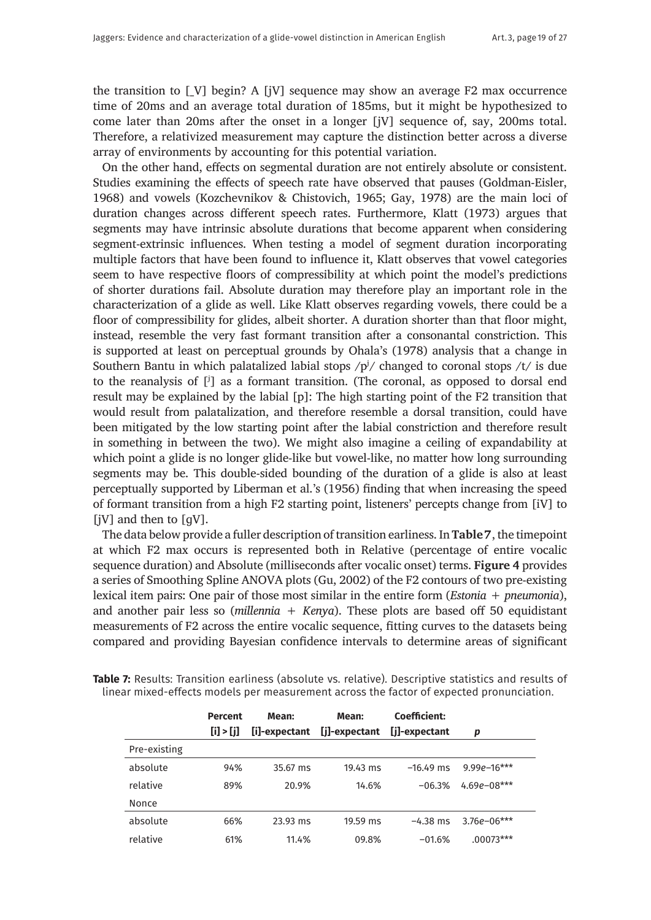the transition to [\_V] begin? A [jV] sequence may show an average F2 max occurrence time of 20ms and an average total duration of 185ms, but it might be hypothesized to come later than 20ms after the onset in a longer [jV] sequence of, say, 200ms total. Therefore, a relativized measurement may capture the distinction better across a diverse array of environments by accounting for this potential variation.

On the other hand, effects on segmental duration are not entirely absolute or consistent. Studies examining the effects of speech rate have observed that pauses (Goldman-Eisler, 1968) and vowels (Kozchevnikov & Chistovich, 1965; Gay, 1978) are the main loci of duration changes across different speech rates. Furthermore, Klatt (1973) argues that segments may have intrinsic absolute durations that become apparent when considering segment-extrinsic influences. When testing a model of segment duration incorporating multiple factors that have been found to influence it, Klatt observes that vowel categories seem to have respective floors of compressibility at which point the model's predictions of shorter durations fail. Absolute duration may therefore play an important role in the characterization of a glide as well. Like Klatt observes regarding vowels, there could be a floor of compressibility for glides, albeit shorter. A duration shorter than that floor might, instead, resemble the very fast formant transition after a consonantal constriction. This is supported at least on perceptual grounds by Ohala's (1978) analysis that a change in Southern Bantu in which palatalized labial stops  $/p^{j}$  changed to coronal stops  $/t/$  is due to the reanalysis of [ʲ] as a formant transition. (The coronal, as opposed to dorsal end result may be explained by the labial [p]: The high starting point of the F2 transition that would result from palatalization, and therefore resemble a dorsal transition, could have been mitigated by the low starting point after the labial constriction and therefore result in something in between the two). We might also imagine a ceiling of expandability at which point a glide is no longer glide-like but vowel-like, no matter how long surrounding segments may be. This double-sided bounding of the duration of a glide is also at least perceptually supported by Liberman et al.'s (1956) finding that when increasing the speed of formant transition from a high F2 starting point, listeners' percepts change from [iV] to [jV] and then to [gV].

The data below provide a fuller description of transition earliness. In **Table 7**, the timepoint at which F2 max occurs is represented both in Relative (percentage of entire vocalic sequence duration) and Absolute (milliseconds after vocalic onset) terms. **Figure 4** provides a series of Smoothing Spline ANOVA plots (Gu, 2002) of the F2 contours of two pre-existing lexical item pairs: One pair of those most similar in the entire form (*Estonia* + *pneumonia*), and another pair less so (*millennia* + *Kenya*). These plots are based off 50 equidistant measurements of F2 across the entire vocalic sequence, fitting curves to the datasets being compared and providing Bayesian confidence intervals to determine areas of significant

|              | <b>Percent</b><br>[i] > [j] | Mean:<br>[i]-expectant | Mean:<br>[j]-expectant | Coefficient:<br>[j]-expectant | р               |
|--------------|-----------------------------|------------------------|------------------------|-------------------------------|-----------------|
| Pre-existing |                             |                        |                        |                               |                 |
| absolute     | 94%                         | 35.67 ms               | $19.43 \text{ ms}$     | $-16.49$ ms                   | $9.99e - 16***$ |
| relative     | 89%                         | 20.9%                  | 14.6%                  | $-06.3%$                      | $4.69e - 08***$ |
| Nonce        |                             |                        |                        |                               |                 |
| absolute     | 66%                         | 23.93 ms               | 19.59 ms               | $-4.38$ ms                    | $3.76e - 06***$ |
| relative     | 61%                         | 11.4%                  | 09.8%                  | $-01.6%$                      | $.00073***$     |

**Table 7:** Results: Transition earliness (absolute vs. relative). Descriptive statistics and results of linear mixed-effects models per measurement across the factor of expected pronunciation.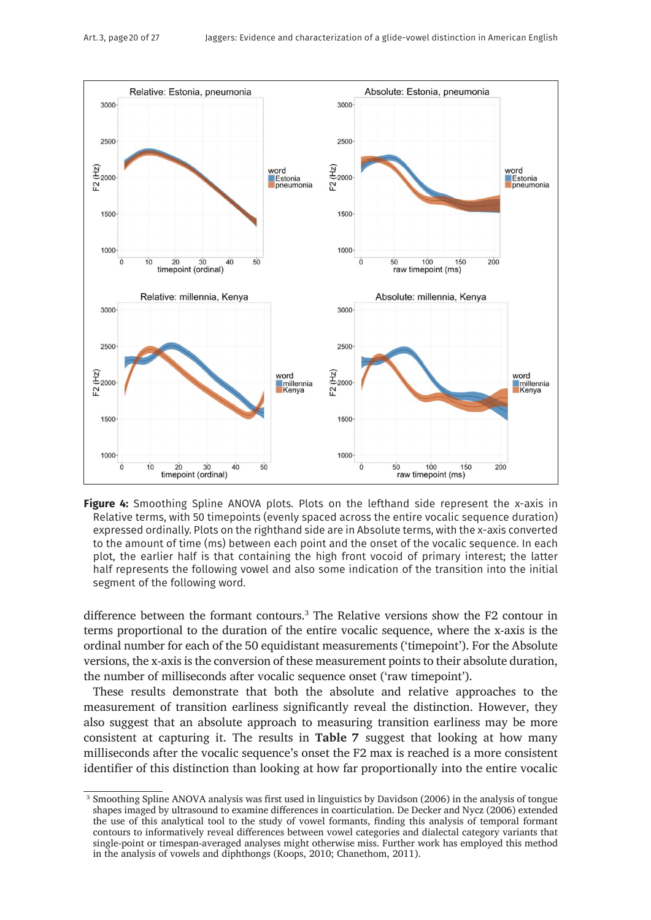

Figure 4: Smoothing Spline ANOVA plots. Plots on the lefthand side represent the x-axis in Relative terms, with 50 timepoints (evenly spaced across the entire vocalic sequence duration) expressed ordinally. Plots on the righthand side are in Absolute terms, with the x-axis converted to the amount of time (ms) between each point and the onset of the vocalic sequence. In each plot, the earlier half is that containing the high front vocoid of primary interest; the latter half represents the following vowel and also some indication of the transition into the initial segment of the following word.

difference between the formant contours.3 The Relative versions show the F2 contour in terms proportional to the duration of the entire vocalic sequence, where the x-axis is the ordinal number for each of the 50 equidistant measurements ('timepoint'). For the Absolute versions, the x-axis is the conversion of these measurement points to their absolute duration, the number of milliseconds after vocalic sequence onset ('raw timepoint').

These results demonstrate that both the absolute and relative approaches to the measurement of transition earliness significantly reveal the distinction. However, they also suggest that an absolute approach to measuring transition earliness may be more consistent at capturing it. The results in **Table 7** suggest that looking at how many milliseconds after the vocalic sequence's onset the F2 max is reached is a more consistent identifier of this distinction than looking at how far proportionally into the entire vocalic

<sup>&</sup>lt;sup>3</sup> Smoothing Spline ANOVA analysis was first used in linguistics by Davidson (2006) in the analysis of tongue shapes imaged by ultrasound to examine differences in coarticulation. De Decker and Nycz (2006) extended the use of this analytical tool to the study of vowel formants, finding this analysis of temporal formant contours to informatively reveal differences between vowel categories and dialectal category variants that single-point or timespan-averaged analyses might otherwise miss. Further work has employed this method in the analysis of vowels and diphthongs (Koops, 2010; Chanethom, 2011).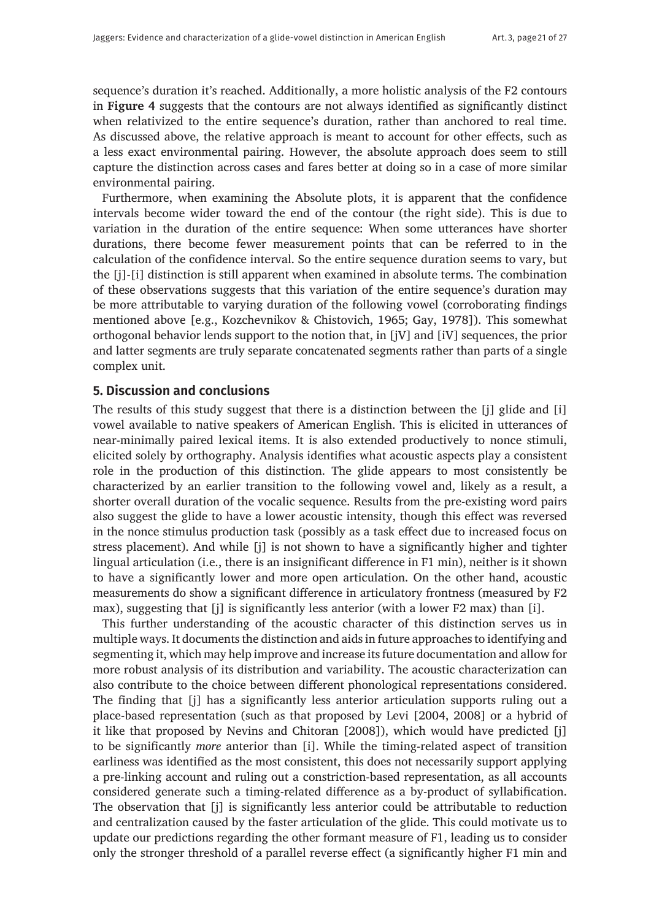sequence's duration it's reached. Additionally, a more holistic analysis of the F2 contours in **Figure 4** suggests that the contours are not always identified as significantly distinct when relativized to the entire sequence's duration, rather than anchored to real time. As discussed above, the relative approach is meant to account for other effects, such as a less exact environmental pairing. However, the absolute approach does seem to still capture the distinction across cases and fares better at doing so in a case of more similar environmental pairing.

Furthermore, when examining the Absolute plots, it is apparent that the confidence intervals become wider toward the end of the contour (the right side). This is due to variation in the duration of the entire sequence: When some utterances have shorter durations, there become fewer measurement points that can be referred to in the calculation of the confidence interval. So the entire sequence duration seems to vary, but the [j]-[i] distinction is still apparent when examined in absolute terms. The combination of these observations suggests that this variation of the entire sequence's duration may be more attributable to varying duration of the following vowel (corroborating findings mentioned above [e.g., Kozchevnikov & Chistovich, 1965; Gay, 1978]). This somewhat orthogonal behavior lends support to the notion that, in [jV] and [iV] sequences, the prior and latter segments are truly separate concatenated segments rather than parts of a single complex unit.

# **5. Discussion and conclusions**

The results of this study suggest that there is a distinction between the [j] glide and [i] vowel available to native speakers of American English. This is elicited in utterances of near-minimally paired lexical items. It is also extended productively to nonce stimuli, elicited solely by orthography. Analysis identifies what acoustic aspects play a consistent role in the production of this distinction. The glide appears to most consistently be characterized by an earlier transition to the following vowel and, likely as a result, a shorter overall duration of the vocalic sequence. Results from the pre-existing word pairs also suggest the glide to have a lower acoustic intensity, though this effect was reversed in the nonce stimulus production task (possibly as a task effect due to increased focus on stress placement). And while [j] is not shown to have a significantly higher and tighter lingual articulation (i.e., there is an insignificant difference in F1 min), neither is it shown to have a significantly lower and more open articulation. On the other hand, acoustic measurements do show a significant difference in articulatory frontness (measured by F2 max), suggesting that [j] is significantly less anterior (with a lower F2 max) than [i].

This further understanding of the acoustic character of this distinction serves us in multiple ways. It documents the distinction and aids in future approaches to identifying and segmenting it, which may help improve and increase its future documentation and allow for more robust analysis of its distribution and variability. The acoustic characterization can also contribute to the choice between different phonological representations considered. The finding that [j] has a significantly less anterior articulation supports ruling out a place-based representation (such as that proposed by Levi [2004, 2008] or a hybrid of it like that proposed by Nevins and Chitoran [2008]), which would have predicted [j] to be significantly *more* anterior than [i]. While the timing-related aspect of transition earliness was identified as the most consistent, this does not necessarily support applying a pre-linking account and ruling out a constriction-based representation, as all accounts considered generate such a timing-related difference as a by-product of syllabification. The observation that [j] is significantly less anterior could be attributable to reduction and centralization caused by the faster articulation of the glide. This could motivate us to update our predictions regarding the other formant measure of F1, leading us to consider only the stronger threshold of a parallel reverse effect (a significantly higher F1 min and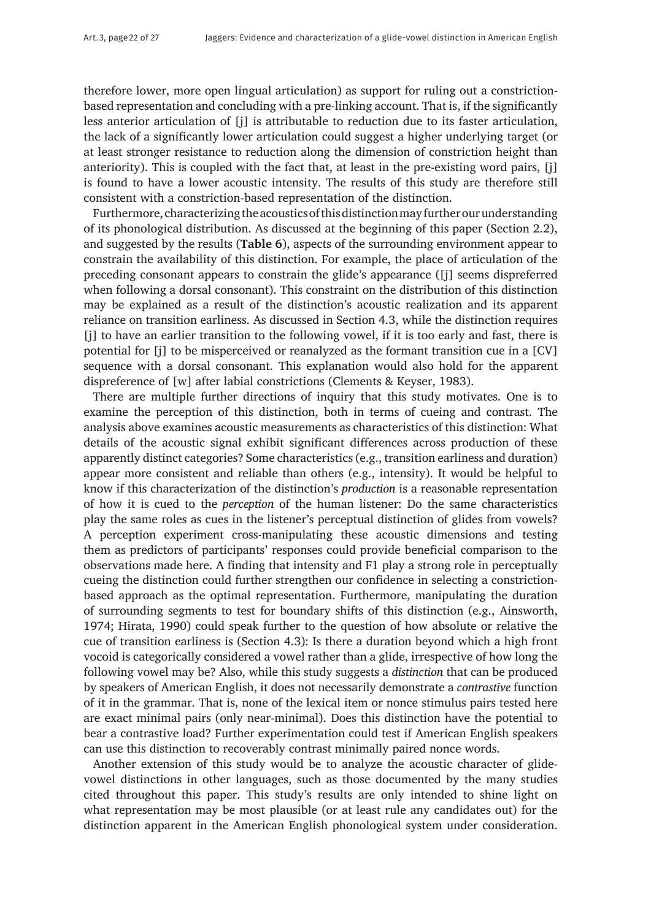therefore lower, more open lingual articulation) as support for ruling out a constrictionbased representation and concluding with a pre-linking account. That is, if the significantly less anterior articulation of [j] is attributable to reduction due to its faster articulation, the lack of a significantly lower articulation could suggest a higher underlying target (or at least stronger resistance to reduction along the dimension of constriction height than anteriority). This is coupled with the fact that, at least in the pre-existing word pairs, [j] is found to have a lower acoustic intensity. The results of this study are therefore still consistent with a constriction-based representation of the distinction.

Furthermore, characterizing the acoustics of this distinction may further our understanding of its phonological distribution. As discussed at the beginning of this paper (Section 2.2), and suggested by the results (**Table 6**), aspects of the surrounding environment appear to constrain the availability of this distinction. For example, the place of articulation of the preceding consonant appears to constrain the glide's appearance ([j] seems dispreferred when following a dorsal consonant). This constraint on the distribution of this distinction may be explained as a result of the distinction's acoustic realization and its apparent reliance on transition earliness. As discussed in Section 4.3, while the distinction requires [j] to have an earlier transition to the following vowel, if it is too early and fast, there is potential for [j] to be misperceived or reanalyzed as the formant transition cue in a [CV] sequence with a dorsal consonant. This explanation would also hold for the apparent dispreference of [w] after labial constrictions (Clements & Keyser, 1983).

There are multiple further directions of inquiry that this study motivates. One is to examine the perception of this distinction, both in terms of cueing and contrast. The analysis above examines acoustic measurements as characteristics of this distinction: What details of the acoustic signal exhibit significant differences across production of these apparently distinct categories? Some characteristics (e.g., transition earliness and duration) appear more consistent and reliable than others (e.g., intensity). It would be helpful to know if this characterization of the distinction's *production* is a reasonable representation of how it is cued to the *perception* of the human listener: Do the same characteristics play the same roles as cues in the listener's perceptual distinction of glides from vowels? A perception experiment cross-manipulating these acoustic dimensions and testing them as predictors of participants' responses could provide beneficial comparison to the observations made here. A finding that intensity and F1 play a strong role in perceptually cueing the distinction could further strengthen our confidence in selecting a constrictionbased approach as the optimal representation. Furthermore, manipulating the duration of surrounding segments to test for boundary shifts of this distinction (e.g., Ainsworth, 1974; Hirata, 1990) could speak further to the question of how absolute or relative the cue of transition earliness is (Section 4.3): Is there a duration beyond which a high front vocoid is categorically considered a vowel rather than a glide, irrespective of how long the following vowel may be? Also, while this study suggests a *distinction* that can be produced by speakers of American English, it does not necessarily demonstrate a *contrastive* function of it in the grammar. That is, none of the lexical item or nonce stimulus pairs tested here are exact minimal pairs (only near-minimal). Does this distinction have the potential to bear a contrastive load? Further experimentation could test if American English speakers can use this distinction to recoverably contrast minimally paired nonce words.

Another extension of this study would be to analyze the acoustic character of glidevowel distinctions in other languages, such as those documented by the many studies cited throughout this paper. This study's results are only intended to shine light on what representation may be most plausible (or at least rule any candidates out) for the distinction apparent in the American English phonological system under consideration.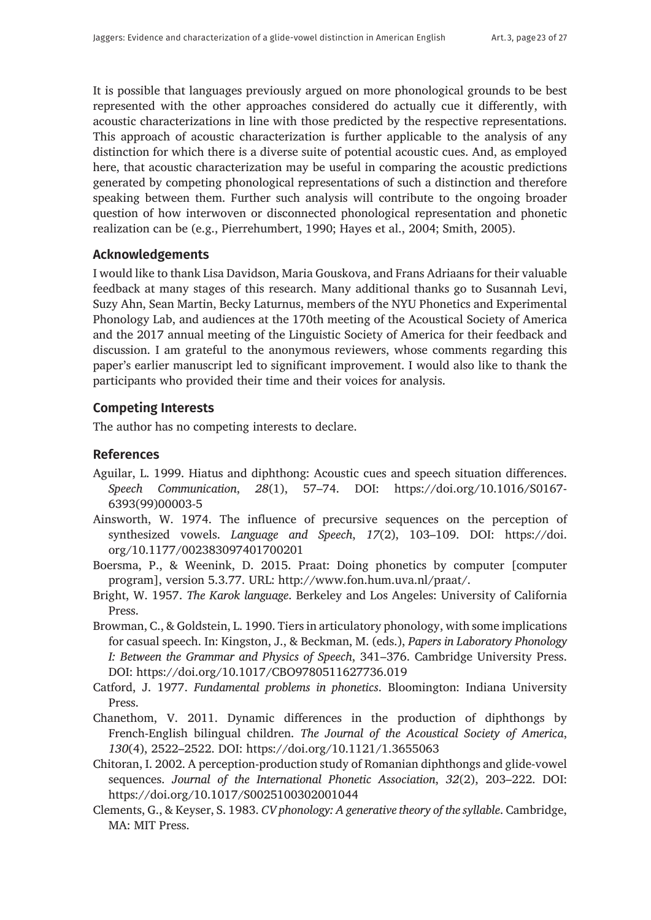It is possible that languages previously argued on more phonological grounds to be best represented with the other approaches considered do actually cue it differently, with acoustic characterizations in line with those predicted by the respective representations. This approach of acoustic characterization is further applicable to the analysis of any distinction for which there is a diverse suite of potential acoustic cues. And, as employed here, that acoustic characterization may be useful in comparing the acoustic predictions generated by competing phonological representations of such a distinction and therefore speaking between them. Further such analysis will contribute to the ongoing broader question of how interwoven or disconnected phonological representation and phonetic realization can be (e.g., Pierrehumbert, 1990; Hayes et al., 2004; Smith, 2005).

## **Acknowledgements**

I would like to thank Lisa Davidson, Maria Gouskova, and Frans Adriaans for their valuable feedback at many stages of this research. Many additional thanks go to Susannah Levi, Suzy Ahn, Sean Martin, Becky Laturnus, members of the NYU Phonetics and Experimental Phonology Lab, and audiences at the 170th meeting of the Acoustical Society of America and the 2017 annual meeting of the Linguistic Society of America for their feedback and discussion. I am grateful to the anonymous reviewers, whose comments regarding this paper's earlier manuscript led to significant improvement. I would also like to thank the participants who provided their time and their voices for analysis.

## **Competing Interests**

The author has no competing interests to declare.

## **References**

- Aguilar, L. 1999. Hiatus and diphthong: Acoustic cues and speech situation differences. *Speech Communication*, *28*(1), 57–74. DOI: [https://doi.org/10.1016/S0167-](https://doi.org/10.1016/S0167-6393(99)00003-5) [6393\(99\)00003-5](https://doi.org/10.1016/S0167-6393(99)00003-5)
- Ainsworth, W. 1974. The influence of precursive sequences on the perception of synthesized vowels. *Language and Speech*, *17*(2), 103–109. DOI: [https://doi.](https://doi.org/10.1177/002383097401700201) [org/10.1177/002383097401700201](https://doi.org/10.1177/002383097401700201)
- Boersma, P., & Weenink, D. 2015. Praat: Doing phonetics by computer [computer program], version 5.3.77. URL: [http://www.fon.hum.uva.nl/praat/.](http://www.fon.hum.uva.nl/praat/)
- Bright, W. 1957. *The Karok language*. Berkeley and Los Angeles: University of California Press.
- Browman, C., & Goldstein, L. 1990. Tiers in articulatory phonology, with some implications for casual speech. In: Kingston, J., & Beckman, M. (eds.), *Papers in Laboratory Phonology I: Between the Grammar and Physics of Speech*, 341–376. Cambridge University Press. DOI: <https://doi.org/10.1017/CBO9780511627736.019>
- Catford, J. 1977. *Fundamental problems in phonetics*. Bloomington: Indiana University Press.
- Chanethom, V. 2011. Dynamic differences in the production of diphthongs by French-English bilingual children. *The Journal of the Acoustical Society of America*, *130*(4), 2522–2522. DOI:<https://doi.org/10.1121/1.3655063>
- Chitoran, I. 2002. A perception-production study of Romanian diphthongs and glide-vowel sequences. *Journal of the International Phonetic Association*, *32*(2), 203–222. DOI: <https://doi.org/10.1017/S0025100302001044>
- Clements, G., & Keyser, S. 1983. *CV phonology: A generative theory of the syllable*. Cambridge, MA: MIT Press.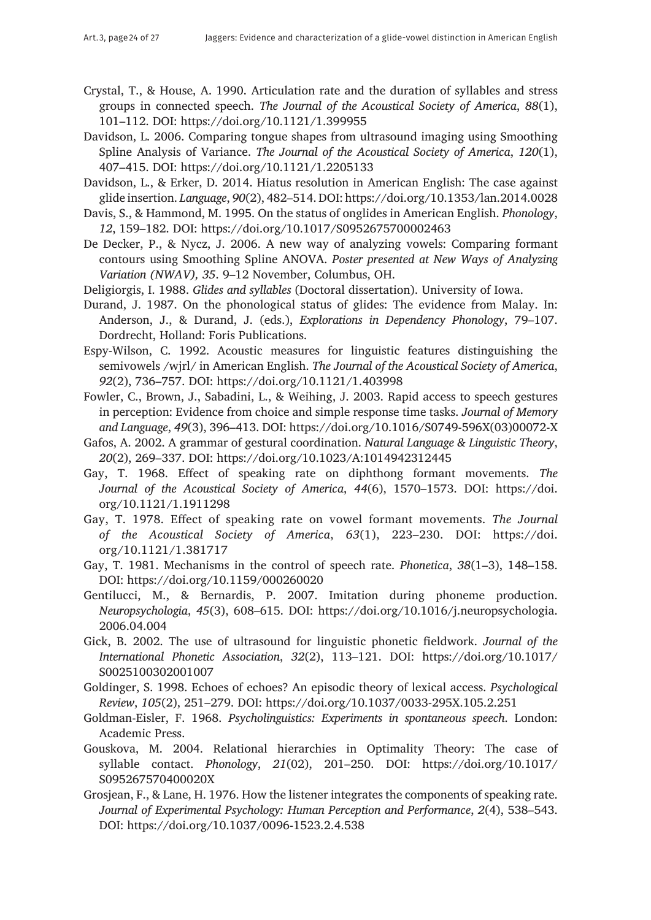- Crystal, T., & House, A. 1990. Articulation rate and the duration of syllables and stress groups in connected speech. *The Journal of the Acoustical Society of America*, *88*(1), 101–112. DOI:<https://doi.org/10.1121/1.399955>
- Davidson, L. 2006. Comparing tongue shapes from ultrasound imaging using Smoothing Spline Analysis of Variance. *The Journal of the Acoustical Society of America*, *120*(1), 407–415. DOI:<https://doi.org/10.1121/1.2205133>
- Davidson, L., & Erker, D. 2014. Hiatus resolution in American English: The case against glide insertion. *Language*, *90*(2), 482–514. DOI:<https://doi.org/10.1353/lan.2014.0028>
- Davis, S., & Hammond, M. 1995. On the status of onglides in American English. *Phonology*, *12*, 159–182. DOI: <https://doi.org/10.1017/S0952675700002463>
- De Decker, P., & Nycz, J. 2006. A new way of analyzing vowels: Comparing formant contours using Smoothing Spline ANOVA. *Poster presented at New Ways of Analyzing Variation (NWAV), 35*. 9–12 November, Columbus, OH.
- Deligiorgis, I. 1988. *Glides and syllables* (Doctoral dissertation). University of Iowa.
- Durand, J. 1987. On the phonological status of glides: The evidence from Malay. In: Anderson, J., & Durand, J. (eds.), *Explorations in Dependency Phonology*, 79–107. Dordrecht, Holland: Foris Publications.
- Espy-Wilson, C. 1992. Acoustic measures for linguistic features distinguishing the semivowels /wjrl/ in American English. *The Journal of the Acoustical Society of America*, *92*(2), 736–757. DOI:<https://doi.org/10.1121/1.403998>
- Fowler, C., Brown, J., Sabadini, L., & Weihing, J. 2003. Rapid access to speech gestures in perception: Evidence from choice and simple response time tasks. *Journal of Memory and Language*, *49*(3), 396–413. DOI: [https://doi.org/10.1016/S0749-596X\(03\)00072-X](https://doi.org/10.1016/S0749-596X(03)00072-X)
- Gafos, A. 2002. A grammar of gestural coordination. *Natural Language & Linguistic Theory*, *20*(2), 269–337. DOI:<https://doi.org/10.1023/A:1014942312445>
- Gay, T. 1968. Effect of speaking rate on diphthong formant movements. *The Journal of the Acoustical Society of America*, *44*(6), 1570–1573. DOI: [https://doi.](https://doi.org/10.1121/1.1911298) [org/10.1121/1.1911298](https://doi.org/10.1121/1.1911298)
- Gay, T. 1978. Effect of speaking rate on vowel formant movements. *The Journal of the Acoustical Society of America*, *63*(1), 223–230. DOI: [https://doi.](https://doi.org/10.1121/1.381717) [org/10.1121/1.381717](https://doi.org/10.1121/1.381717)
- Gay, T. 1981. Mechanisms in the control of speech rate. *Phonetica*, *38*(1–3), 148–158. DOI:<https://doi.org/10.1159/000260020>
- Gentilucci, M., & Bernardis, P. 2007. Imitation during phoneme production. *Neuropsychologia*, *45*(3), 608–615. DOI: [https://doi.org/10.1016/j.neuropsychologia.](https://doi.org/10.1016/j.neuropsychologia.2006.04.004) [2006.04.004](https://doi.org/10.1016/j.neuropsychologia.2006.04.004)
- Gick, B. 2002. The use of ultrasound for linguistic phonetic fieldwork. *Journal of the International Phonetic Association*, *32*(2), 113–121. DOI: [https://doi.org/10.1017/](https://doi.org/10.1017/S0025100302001007) [S0025100302001007](https://doi.org/10.1017/S0025100302001007)
- Goldinger, S. 1998. Echoes of echoes? An episodic theory of lexical access. *Psychological Review*, *105*(2), 251–279. DOI:<https://doi.org/10.1037/0033-295X.105.2.251>
- Goldman-Eisler, F. 1968. *Psycholinguistics: Experiments in spontaneous speech*. London: Academic Press.
- Gouskova, M. 2004. Relational hierarchies in Optimality Theory: The case of syllable contact. *Phonology*, *21*(02), 201–250. DOI: [https://doi.org/10.1017/](https://doi.org/10.1017/S095267570400020X) [S095267570400020X](https://doi.org/10.1017/S095267570400020X)
- Grosjean, F., & Lane, H. 1976. How the listener integrates the components of speaking rate. *Journal of Experimental Psychology: Human Perception and Performance*, *2*(4), 538–543. DOI:<https://doi.org/10.1037/0096-1523.2.4.538>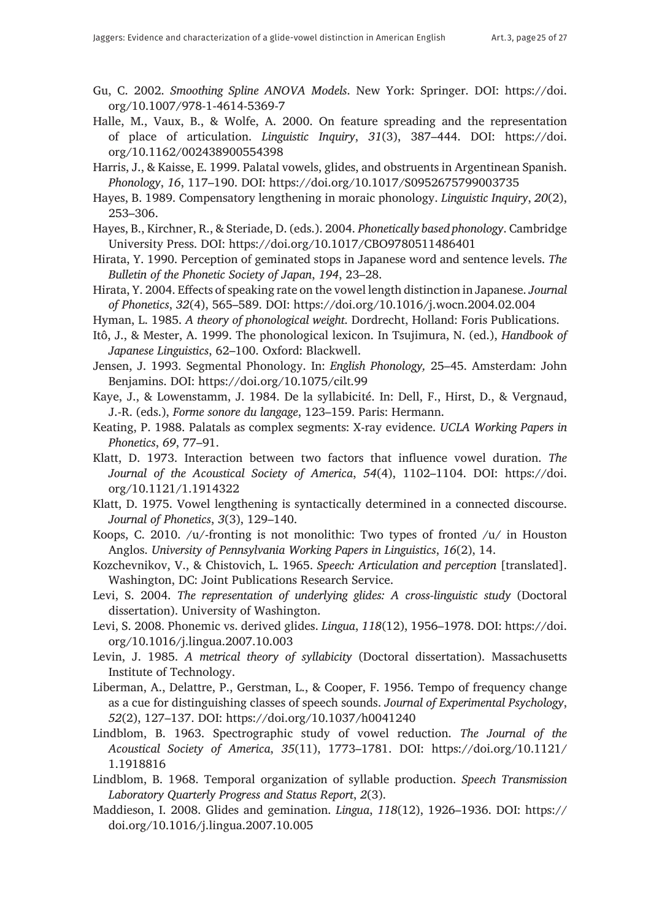- Gu, C. 2002. *Smoothing Spline ANOVA Models*. New York: Springer. DOI: [https://doi.](https://doi.org/10.1007/978-1-4614-5369-7) [org/10.1007/978-1-4614-5369-7](https://doi.org/10.1007/978-1-4614-5369-7)
- Halle, M., Vaux, B., & Wolfe, A. 2000. On feature spreading and the representation of place of articulation. *Linguistic Inquiry*, *31*(3), 387–444. DOI: [https://doi.](https://doi.org/10.1162/002438900554398) [org/10.1162/002438900554398](https://doi.org/10.1162/002438900554398)
- Harris, J., & Kaisse, E. 1999. Palatal vowels, glides, and obstruents in Argentinean Spanish. *Phonology*, *16*, 117–190. DOI:<https://doi.org/10.1017/S0952675799003735>
- Hayes, B. 1989. Compensatory lengthening in moraic phonology. *Linguistic Inquiry*, *20*(2), 253–306.
- Hayes, B., Kirchner, R., & Steriade, D. (eds.). 2004. *Phonetically based phonology*. Cambridge University Press. DOI:<https://doi.org/10.1017/CBO9780511486401>
- Hirata, Y. 1990. Perception of geminated stops in Japanese word and sentence levels. *The Bulletin of the Phonetic Society of Japan*, *194*, 23–28.
- Hirata, Y. 2004. Effects of speaking rate on the vowel length distinction in Japanese. *Journal of Phonetics*, *32*(4), 565–589. DOI: <https://doi.org/10.1016/j.wocn.2004.02.004>
- Hyman, L. 1985. *A theory of phonological weight*. Dordrecht, Holland: Foris Publications.
- Itô, J., & Mester, A. 1999. The phonological lexicon. In Tsujimura, N. (ed.), *Handbook of Japanese Linguistics*, 62–100. Oxford: Blackwell.
- Jensen, J. 1993. Segmental Phonology. In: *English Phonology,* 25–45. Amsterdam: John Benjamins. DOI: <https://doi.org/10.1075/cilt.99>
- Kaye, J., & Lowenstamm, J. 1984. De la syllabicité. In: Dell, F., Hirst, D., & Vergnaud, J.-R. (eds.), *Forme sonore du langage*, 123–159. Paris: Hermann.
- Keating, P. 1988. Palatals as complex segments: X-ray evidence. *UCLA Working Papers in Phonetics*, *69*, 77–91.
- Klatt, D. 1973. Interaction between two factors that influence vowel duration. *The Journal of the Acoustical Society of America*, *54*(4), 1102–1104. DOI: [https://doi.](https://doi.org/10.1121/1.1914322) [org/10.1121/1.1914322](https://doi.org/10.1121/1.1914322)
- Klatt, D. 1975. Vowel lengthening is syntactically determined in a connected discourse. *Journal of Phonetics*, *3*(3), 129–140.
- Koops, C. 2010. /u/-fronting is not monolithic: Two types of fronted /u/ in Houston Anglos. *University of Pennsylvania Working Papers in Linguistics*, *16*(2), 14.
- Kozchevnikov, V., & Chistovich, L. 1965. *Speech: Articulation and perception* [translated]. Washington, DC: Joint Publications Research Service.
- Levi, S. 2004. *The representation of underlying glides: A cross-linguistic study* (Doctoral dissertation). University of Washington.
- Levi, S. 2008. Phonemic vs. derived glides. *Lingua*, *118*(12), 1956–1978. DOI: [https://doi.](https://doi.org/10.1016/j.lingua.2007.10.003) [org/10.1016/j.lingua.2007.10.003](https://doi.org/10.1016/j.lingua.2007.10.003)
- Levin, J. 1985. *A metrical theory of syllabicity* (Doctoral dissertation). Massachusetts Institute of Technology.
- Liberman, A., Delattre, P., Gerstman, L., & Cooper, F. 1956. Tempo of frequency change as a cue for distinguishing classes of speech sounds. *Journal of Experimental Psychology*, *52*(2), 127–137. DOI: <https://doi.org/10.1037/h0041240>
- Lindblom, B. 1963. Spectrographic study of vowel reduction. *The Journal of the Acoustical Society of America*, *35*(11), 1773–1781. DOI: [https://doi.org/10.1121/](https://doi.org/10.1121/1.1918816) [1.1918816](https://doi.org/10.1121/1.1918816)
- Lindblom, B. 1968. Temporal organization of syllable production. *Speech Transmission Laboratory Quarterly Progress and Status Report*, *2*(3).
- Maddieson, I. 2008. Glides and gemination. *Lingua*, *118*(12), 1926–1936. DOI: [https://](https://doi.org/10.1016/j.lingua.2007.10.005 ) [doi.org/10.1016/j.lingua.2007.10.005](https://doi.org/10.1016/j.lingua.2007.10.005 )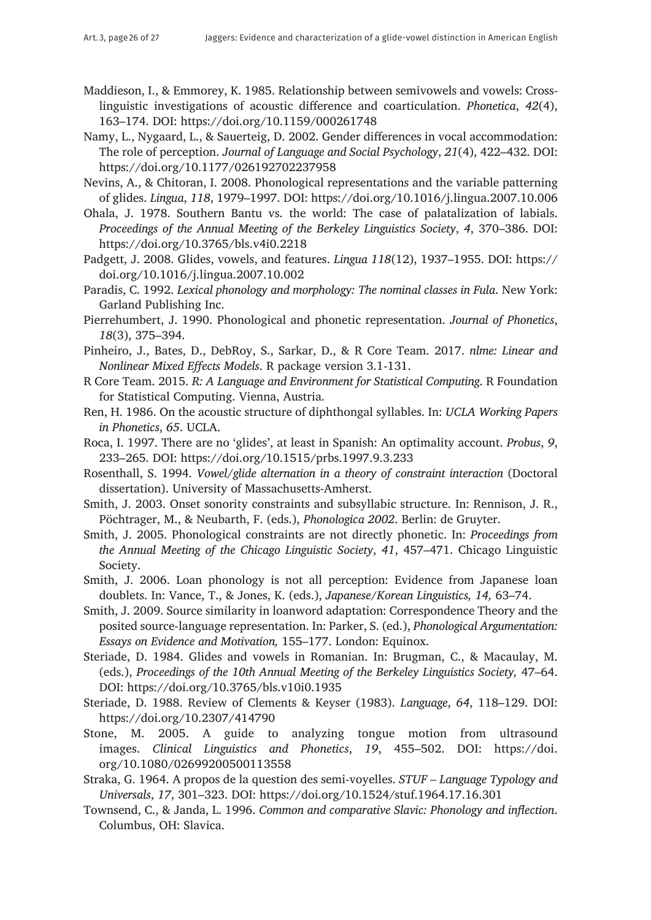- Maddieson, I., & Emmorey, K. 1985. Relationship between semivowels and vowels: Crosslinguistic investigations of acoustic difference and coarticulation. *Phonetica*, *42*(4), 163–174. DOI:<https://doi.org/10.1159/000261748>
- Namy, L., Nygaard, L., & Sauerteig, D. 2002. Gender differences in vocal accommodation: The role of perception. *Journal of Language and Social Psychology*, *21*(4), 422–432. DOI: <https://doi.org/10.1177/026192702237958>
- Nevins, A., & Chitoran, I. 2008. Phonological representations and the variable patterning of glides. *Lingua*, *118*, 1979–1997. DOI:<https://doi.org/10.1016/j.lingua.2007.10.006>
- Ohala, J. 1978. Southern Bantu vs. the world: The case of palatalization of labials. *Proceedings of the Annual Meeting of the Berkeley Linguistics Society*, *4*, 370–386. DOI: <https://doi.org/10.3765/bls.v4i0.2218>
- Padgett, J. 2008. Glides, vowels, and features. *Lingua 118*(12), 1937–1955. DOI: [https://](https://doi.org/10.1016/j.lingua.2007.10.002) [doi.org/10.1016/j.lingua.2007.10.002](https://doi.org/10.1016/j.lingua.2007.10.002)
- Paradis, C. 1992. *Lexical phonology and morphology: The nominal classes in Fula*. New York: Garland Publishing Inc.
- Pierrehumbert, J. 1990. Phonological and phonetic representation. *Journal of Phonetics*, *18*(3), 375–394.
- Pinheiro, J., Bates, D., DebRoy, S., Sarkar, D., & R Core Team. 2017. *nlme: Linear and Nonlinear Mixed Effects Models*. R package version 3.1-131.
- R Core Team. 2015. *R: A Language and Environment for Statistical Computing*. R Foundation for Statistical Computing. Vienna, Austria.
- Ren, H. 1986. On the acoustic structure of diphthongal syllables. In: *UCLA Working Papers in Phonetics*, *65*. UCLA.
- Roca, I. 1997. There are no 'glides', at least in Spanish: An optimality account. *Probus*, *9*, 233–265. DOI:<https://doi.org/10.1515/prbs.1997.9.3.233>
- Rosenthall, S. 1994. *Vowel/glide alternation in a theory of constraint interaction* (Doctoral dissertation). University of Massachusetts-Amherst.
- Smith, J. 2003. Onset sonority constraints and subsyllabic structure. In: Rennison, J. R., Pöchtrager, M., & Neubarth, F. (eds.), *Phonologica 2002*. Berlin: de Gruyter.
- Smith, J. 2005. Phonological constraints are not directly phonetic. In: *Proceedings from the Annual Meeting of the Chicago Linguistic Society*, *41*, 457–471. Chicago Linguistic Society.
- Smith, J. 2006. Loan phonology is not all perception: Evidence from Japanese loan doublets. In: Vance, T., & Jones, K. (eds.), *Japanese/Korean Linguistics, 14,* 63–74.
- Smith, J. 2009. Source similarity in loanword adaptation: Correspondence Theory and the posited source-language representation. In: Parker, S. (ed.), *Phonological Argumentation: Essays on Evidence and Motivation,* 155–177. London: Equinox.
- Steriade, D. 1984. Glides and vowels in Romanian. In: Brugman, C., & Macaulay, M. (eds.), *Proceedings of the 10th Annual Meeting of the Berkeley Linguistics Society,* 47–64. DOI:<https://doi.org/10.3765/bls.v10i0.1935>
- Steriade, D. 1988. Review of Clements & Keyser (1983). *Language*, *64*, 118–129. DOI: <https://doi.org/10.2307/414790>
- Stone, M. 2005. A guide to analyzing tongue motion from ultrasound images. *Clinical Linguistics and Phonetics*, *19*, 455–502. DOI: [https://doi.](https://doi.org/10.1080/02699200500113558) [org/10.1080/02699200500113558](https://doi.org/10.1080/02699200500113558)
- Straka, G. 1964. A propos de la question des semi-voyelles. *STUF Language Typology and Universals*, *17*, 301–323. DOI:<https://doi.org/10.1524/stuf.1964.17.16.301>
- Townsend, C., & Janda, L. 1996. *Common and comparative Slavic: Phonology and inflection*. Columbus, OH: Slavica.